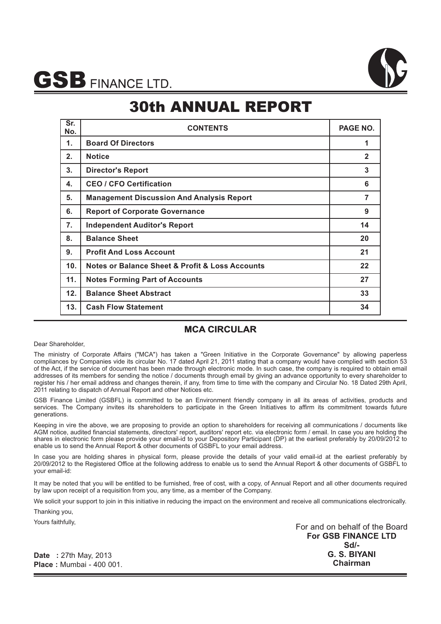

# $\mathbf{GSB}$  finance ltd.

# 30th ANNUAL REPORT

| Sr.<br>No. | <b>CONTENTS</b>                                  | PAGE NO.     |
|------------|--------------------------------------------------|--------------|
| 1.         | <b>Board Of Directors</b>                        | 1            |
| 2.         | <b>Notice</b>                                    | $\mathbf{2}$ |
| 3.         | <b>Director's Report</b>                         | 3            |
| 4.         | <b>CEO / CFO Certification</b>                   | 6            |
| 5.         | <b>Management Discussion And Analysis Report</b> | 7            |
| 6.         | <b>Report of Corporate Governance</b>            | 9            |
| 7.         | <b>Independent Auditor's Report</b>              | 14           |
| 8.         | <b>Balance Sheet</b>                             | 20           |
| 9.         | <b>Profit And Loss Account</b>                   | 21           |
| 10.        | Notes or Balance Sheet & Profit & Loss Accounts  | 22           |
| 11.        | <b>Notes Forming Part of Accounts</b>            | 27           |
| 12.        | <b>Balance Sheet Abstract</b>                    | 33           |
| 13.        | <b>Cash Flow Statement</b>                       | 34           |

#### **MCA CIRCULAR**

Dear Shareholder,

The ministry of Corporate Affairs ("MCA") has taken a "Green Initiative in the Corporate Governance" by allowing paperless compliances by Companies vide its circular No. 17 dated April 21, 2011 stating that a company would have complied with section 53 of the Act, if the service of document has been made through electronic mode. In such case, the company is required to obtain email addresses of its members for sending the notice / documents through email by giving an advance opportunity to every shareholder to register his / her email address and changes therein, if any, from time to time with the company and Circular No. 18 Dated 29th April, 2011 relating to dispatch of Annual Report and other Notices etc.

GSB Finance Limited (GSBFL) is committed to be an Environment friendly company in all its areas of activities, products and services. The Company invites its shareholders to participate in the Green Initiatives to affirm its commitment towards future generations.

Keeping in vire the above, we are proposing to provide an option to shareholders for receiving all communications / documents like AGM notice, audited financial statements, directors' report, auditors' report etc. via electronic form / email. In case you are holding the shares in electronic form please provide your email-id to your Depository Participant (DP) at the earliest preferably by 20/09/2012 to enable us to send the Annual Report & other documents of GSBFL to your email address.

In case you are holding shares in physical form, please provide the details of your valid email-id at the earliest preferably by 20/09/2012 to the Registered Office at the following address to enable us to send the Annual Report & other documents of GSBFL to your email-id:

It may be noted that you will be entitled to be furnished, free of cost, with a copy, of Annual Report and all other documents required by law upon receipt of a requisition from you, any time, as a member of the Company.

We solicit your support to join in this initiative in reducing the impact on the environment and receive all communications electronically.

Thanking you,

Yours faithfully,

For and on behalf of the Board **For GSB FINANCE LTD Sd/- G. S. BIYANI Chairman**

**Date :** 27th May, 2013 **Place :** Mumbai - 400 001.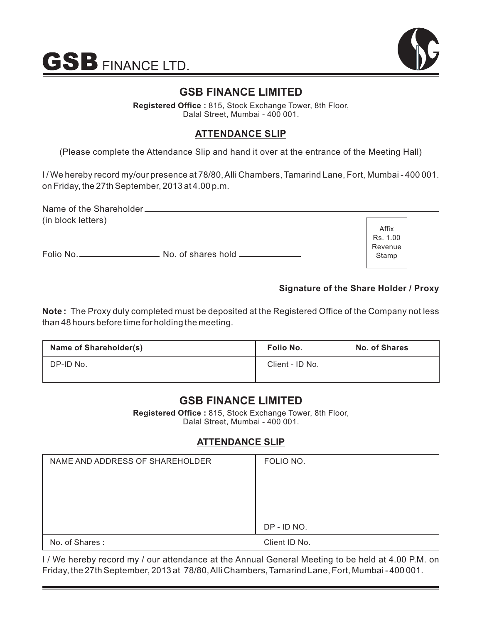



## **GSB FINANCE LIMITED**

**Registered Office :** 815, Stock Exchange Tower, 8th Floor, Dalal Street, Mumbai - 400 001.

#### **ATTENDANCE SLIP**

(Please complete the Attendance Slip and hand it over at the entrance of the Meeting Hall)

I / We hereby record my/our presence at 78/80, Alli Chambers, Tamarind Lane, Fort, Mumbai - 400 001. on Friday, the 27th September, 2013 at 4.00 p.m.

| Name of the Shareholder_ |                               |          |  |
|--------------------------|-------------------------------|----------|--|
| (in block letters)       |                               |          |  |
|                          |                               | Affix    |  |
|                          |                               | Rs. 1.00 |  |
|                          |                               | Revenue  |  |
| Folio No.                | No. of shares hold __________ | Stamp    |  |
|                          |                               |          |  |

#### **Signature of the Share Holder / Proxy**

**Note :** The Proxy duly completed must be deposited at the Registered Office of the Company not less than 48 hours before time for holding the meeting.

| Name of Shareholder(s) | Folio No.       | <b>No. of Shares</b> |
|------------------------|-----------------|----------------------|
| DP-ID No.              | Client - ID No. |                      |

## **GSB FINANCE LIMITED**

**Registered Office :** 815, Stock Exchange Tower, 8th Floor, Dalal Street, Mumbai - 400 001.

## **ATTENDANCE SLIP**

| NAME AND ADDRESS OF SHAREHOLDER | FOLIO NO.     |
|---------------------------------|---------------|
|                                 |               |
|                                 |               |
|                                 |               |
|                                 |               |
|                                 | DP - ID NO.   |
| No. of Shares:                  | Client ID No. |

I / We hereby record my / our attendance at the Annual General Meeting to be held at 4.00 P.M. on Friday, the 27th September, 2013 at 78/80, Alli Chambers, Tamarind Lane, Fort, Mumbai - 400 001.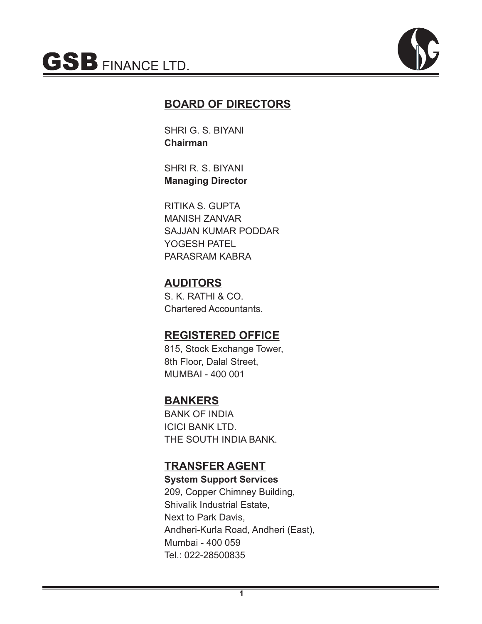

## **BOARD OF DIRECTORS**

SHRI G. S. BIYANI **Chairman**

SHRI R. S. BIYANI **Managing Director**

RITIKA S. GUPTA MANISH ZANVAR SAJJAN KUMAR PODDAR YOGESH PATEL PARASRAM KABRA

# **AUDITORS**

S. K. RATHI & CO. Chartered Accountants.

# **REGISTERED OFFICE**

815, Stock Exchange Tower, 8th Floor, Dalal Street, MUMBAI - 400 001

# **BANKERS**

BANK OF INDIA ICICI BANK LTD. THE SOUTH INDIA BANK.

# **TRANSFER AGENT**

**System Support Services** 209, Copper Chimney Building,

Shivalik Industrial Estate, Next to Park Davis, Andheri-Kurla Road, Andheri (East), Mumbai - 400 059 Tel.: 022-28500835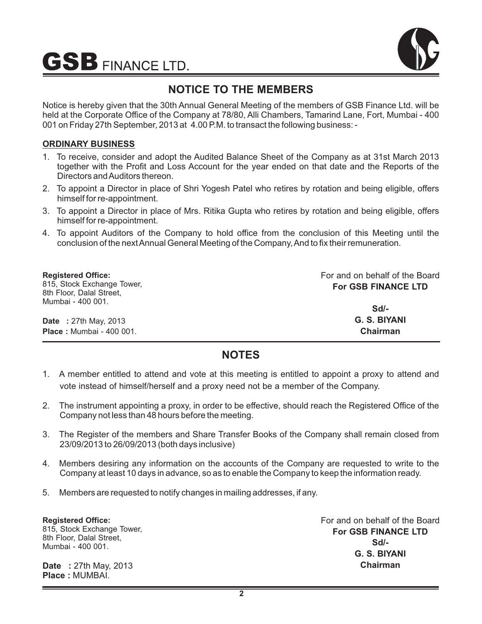$\mathbf{GSB}$  FINANCE LTD.



# **NOTICE TO THE MEMBERS**

Notice is hereby given that the 30th Annual General Meeting of the members of GSB Finance Ltd. will be held at the Corporate Office of the Company at 78/80, Alli Chambers, Tamarind Lane, Fort, Mumbai - 400 001 on Friday 27th September, 2013 at 4.00 P.M. to transact the following business: -

#### **ORDINARY BUSINESS**

- 1. To receive, consider and adopt the Audited Balance Sheet of the Company as at 31st March 2013 together with the Profit and Loss Account for the year ended on that date and the Reports of the Directors and Auditors thereon.
- 2. To appoint a Director in place of Shri Yogesh Patel who retires by rotation and being eligible, offers himself for re-appointment.
- 3. To appoint a Director in place of Mrs. Ritika Gupta who retires by rotation and being eligible, offers himself for re-appointment.
- 4. To appoint Auditors of the Company to hold office from the conclusion of this Meeting until the conclusion of the next Annual General Meeting of the Company, And to fix their remuneration.

| <b>Registered Office:</b>                              | For and on behalf of the Board |
|--------------------------------------------------------|--------------------------------|
| 815, Stock Exchange Tower,<br>8th Floor, Dalal Street, | <b>For GSB FINANCE LTD</b>     |
| Mumbai - 400 001.                                      | $Sd$ -                         |
| <b>Date</b> : 27th May, 2013                           | <b>G. S. BIYANI</b>            |
| <b>Place:</b> Mumbai - 400 001.                        | Chairman                       |

## **NOTES**

- 1. A member entitled to attend and vote at this meeting is entitled to appoint a proxy to attend and vote instead of himself/herself and a proxy need not be a member of the Company.
- 2. The instrument appointing a proxy, in order to be effective, should reach the Registered Office of the Company not less than 48 hours before the meeting.
- 3. The Register of the members and Share Transfer Books of the Company shall remain closed from 23/09/2013 to 26/09/2013 (both days inclusive)
- 4. Members desiring any information on the accounts of the Company are requested to write to the Company at least 10 days in advance, so as to enable the Company to keep the information ready.
- 5. Members are requested to notify changes in mailing addresses, if any.

**Registered Office:** 815, Stock Exchange Tower, 8th Floor, Dalal Street, Mumbai - 400 001.

For and on behalf of the Board **For GSB FINANCE LTD Sd/- G. S. BIYANI Chairman**

**Date** : 27th May, 2013 **Place :** MUMBAI.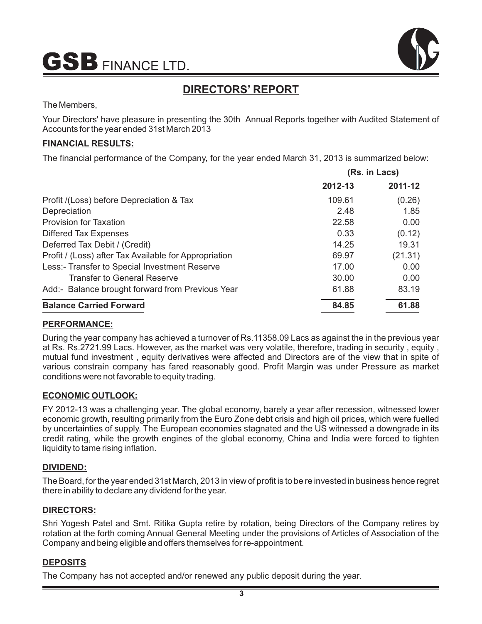

# **DIRECTORS' REPORT**

The Members,

Your Directors' have pleasure in presenting the 30th Annual Reports together with Audited Statement of Accounts for the year ended 31st March 2013

#### **FINANCIAL RESULTS:**

The financial performance of the Company, for the year ended March 31, 2013 is summarized below:

|                                                       | (Rs. in Lacs) |         |
|-------------------------------------------------------|---------------|---------|
|                                                       | 2012-13       | 2011-12 |
| Profit /(Loss) before Depreciation & Tax              | 109.61        | (0.26)  |
| Depreciation                                          | 2.48          | 1.85    |
| <b>Provision for Taxation</b>                         | 22.58         | 0.00    |
| Differed Tax Expenses                                 | 0.33          | (0.12)  |
| Deferred Tax Debit / (Credit)                         | 14.25         | 19.31   |
| Profit / (Loss) after Tax Available for Appropriation | 69.97         | (21.31) |
| Less:- Transfer to Special Investment Reserve         | 17.00         | 0.00    |
| <b>Transfer to General Reserve</b>                    | 30.00         | 0.00    |
| Add:- Balance brought forward from Previous Year      | 61.88         | 83.19   |
| <b>Balance Carried Forward</b>                        | 84.85         | 61.88   |

#### **PERFORMANCE:**

During the year company has achieved a turnover of Rs.11358.09 Lacs as against the in the previous year at Rs. Rs.2721.99 Lacs. However, as the market was very volatile, therefore, trading in security , equity , mutual fund investment , equity derivatives were affected and Directors are of the view that in spite of various constrain company has fared reasonably good. Profit Margin was under Pressure as market conditions were not favorable to equity trading.

#### **ECONOMIC OUTLOOK:**

FY 2012-13 was a challenging year. The global economy, barely a year after recession, witnessed lower economic growth, resulting primarily from the Euro Zone debt crisis and high oil prices, which were fuelled by uncertainties of supply. The European economies stagnated and the US witnessed a downgrade in its credit rating, while the growth engines of the global economy, China and India were forced to tighten liquidity to tame rising inflation.

#### **DIVIDEND:**

The Board, for the year ended 31st March, 2013 in view of profit is to be re invested in business hence regret there in ability to declare any dividend for the year.

#### **DIRECTORS:**

Shri Yogesh Patel and Smt. Ritika Gupta retire by rotation, being Directors of the Company retires by rotation at the forth coming Annual General Meeting under the provisions of Articles of Association of the Company and being eligible and offers themselves for re-appointment.

#### **DEPOSITS**

The Company has not accepted and/or renewed any public deposit during the year.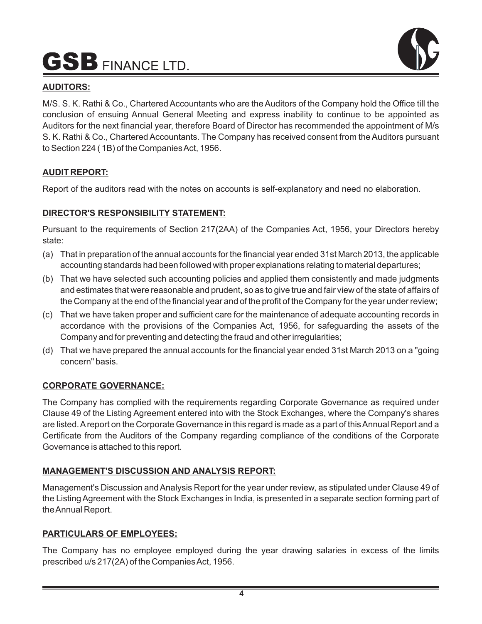

#### **AUDITORS:**

M/S. S. K. Rathi & Co., Chartered Accountants who are the Auditors of the Company hold the Office till the conclusion of ensuing Annual General Meeting and express inability to continue to be appointed as Auditors for the next financial year, therefore Board of Director has recommended the appointment of M/s S. K. Rathi & Co., Chartered Accountants. The Company has received consent from the Auditors pursuant to Section 224 ( 1B) of the Companies Act, 1956.

#### **AUDIT REPORT:**

Report of the auditors read with the notes on accounts is self-explanatory and need no elaboration.

#### **DIRECTOR'S RESPONSIBILITY STATEMENT:**

Pursuant to the requirements of Section 217(2AA) of the Companies Act, 1956, your Directors hereby state:

- (a) That in preparation of the annual accounts for the financial year ended 31st March 2013, the applicable accounting standards had been followed with proper explanations relating to material departures;
- (b) That we have selected such accounting policies and applied them consistently and made judgments and estimates that were reasonable and prudent, so as to give true and fair view of the state of affairs of the Company at the end of the financial year and of the profit of the Company for the year under review;
- (c) That we have taken proper and sufficient care for the maintenance of adequate accounting records in accordance with the provisions of the Companies Act, 1956, for safeguarding the assets of the Company and for preventing and detecting the fraud and other irregularities;
- (d) That we have prepared the annual accounts for the financial year ended 31st March 2013 on a "going concern" basis.

#### **CORPORATE GOVERNANCE:**

The Company has complied with the requirements regarding Corporate Governance as required under Clause 49 of the Listing Agreement entered into with the Stock Exchanges, where the Company's shares are listed. Areport on the Corporate Governance in this regard is made as a part of this Annual Report and a Certificate from the Auditors of the Company regarding compliance of the conditions of the Corporate Governance is attached to this report.

#### **MANAGEMENT'S DISCUSSION AND ANALYSIS REPORT:**

Management's Discussion and Analysis Report for the year under review, as stipulated under Clause 49 of the Listing Agreement with the Stock Exchanges in India, is presented in a separate section forming part of the Annual Report.

#### **PARTICULARS OF EMPLOYEES:**

The Company has no employee employed during the year drawing salaries in excess of the limits prescribed u/s 217(2A) of the Companies Act, 1956.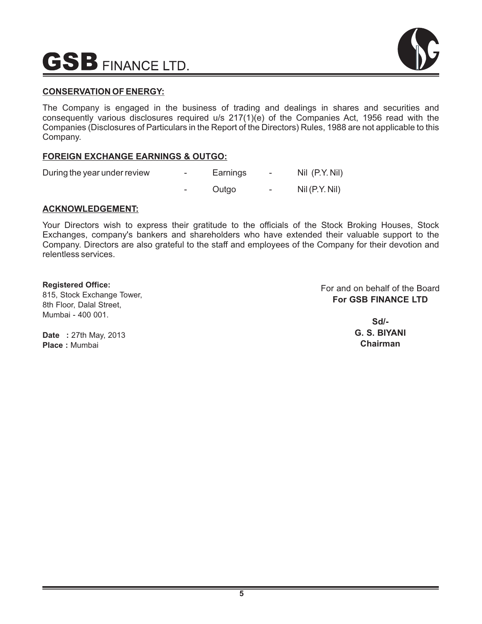

#### **CONSERVATION OF ENERGY:**

The Company is engaged in the business of trading and dealings in shares and securities and consequently various disclosures required u/s 217(1)(e) of the Companies Act, 1956 read with the Companies (Disclosures of Particulars in the Report of the Directors) Rules, 1988 are not applicable to this Company.

#### **FOREIGN EXCHANGE EARNINGS & OUTGO:**

| During the year under review | $\sim$ 100 $\mu$ | Earnings | $\sim$         | Nil (P.Y. Nil)   |
|------------------------------|------------------|----------|----------------|------------------|
|                              | $\sim$ 100 $\mu$ | Outao    | $\sim$ 10 $\,$ | $Nil$ (P.Y. Nil) |

#### **ACKNOWLEDGEMENT:**

Your Directors wish to express their gratitude to the officials of the Stock Broking Houses, Stock Exchanges, company's bankers and shareholders who have extended their valuable support to the Company. Directors are also grateful to the staff and employees of the Company for their devotion and relentless services.

#### **Registered Office:**

815, Stock Exchange Tower, 8th Floor, Dalal Street, Mumbai - 400 001.

For and on behalf of the Board **For GSB FINANCE LTD**

**Date** : 27th May, 2013 **Place :** Mumbai

**Sd/- G. S. BIYANI Chairman**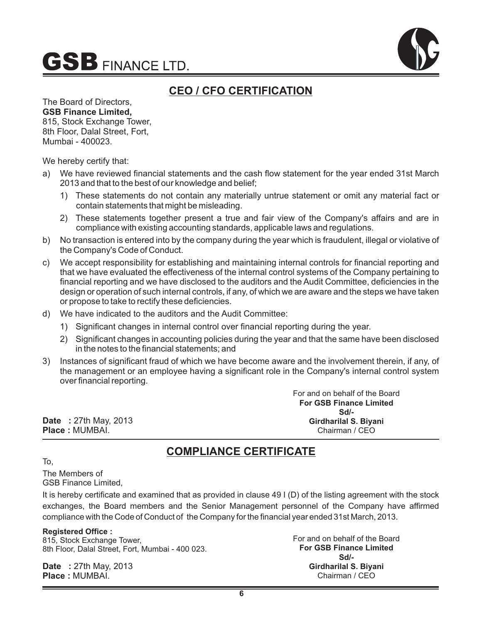



## **CEO / CFO CERTIFICATION**

#### The Board of Directors, **GSB Finance Limited,** 815, Stock Exchange Tower, 8th Floor, Dalal Street, Fort, Mumbai - 400023.

We hereby certify that:

- a) We have reviewed financial statements and the cash flow statement for the year ended 31st March 2013 and that to the best of our knowledge and belief;
	- 1) These statements do not contain any materially untrue statement or omit any material fact or contain statements that might be misleading.
	- 2) These statements together present a true and fair view of the Company's affairs and are in compliance with existing accounting standards, applicable laws and regulations.
- b) No transaction is entered into by the company during the year which is fraudulent, illegal or violative of the Company's Code of Conduct.
- c) We accept responsibility for establishing and maintaining internal controls for financial reporting and that we have evaluated the effectiveness of the internal control systems of the Company pertaining to financial reporting and we have disclosed to the auditors and the Audit Committee, deficiencies in the design or operation of such internal controls, if any, of which we are aware and the steps we have taken or propose to take to rectify these deficiencies.
- d) We have indicated to the auditors and the Audit Committee:
	- 1) Significant changes in internal control over financial reporting during the year.
	- 2) Significant changes in accounting policies during the year and that the same have been disclosed in the notes to the financial statements; and
- 3) Instances of significant fraud of which we have become aware and the involvement therein, if any, of the management or an employee having a significant role in the Company's internal control system over financial reporting.

**Date** : 27th May, 2013 **Place :** MUMBAI.

For and on behalf of the Board **For GSB Finance Limited Sd/- Girdharilal S. Biyani** Chairman / CEO

## **COMPLIANCE CERTIFICATE**

To, The Members of

GSB Finance Limited,

It is hereby certificate and examined that as provided in clause 49 I (D) of the listing agreement with the stock exchanges, the Board members and the Senior Management personnel of the Company have affirmed compliance with the Code of Conduct of the Company for the financial year ended 31st March, 2013.

#### **Registered Office :**

815, Stock Exchange Tower, 8th Floor, Dalal Street, Fort, Mumbai - 400 023.

**Date** : 27th May, 2013 **Place :** MUMBAI.

For and on behalf of the Board **For GSB Finance Limited Sd/- Girdharilal S. Biyani** Chairman / CEO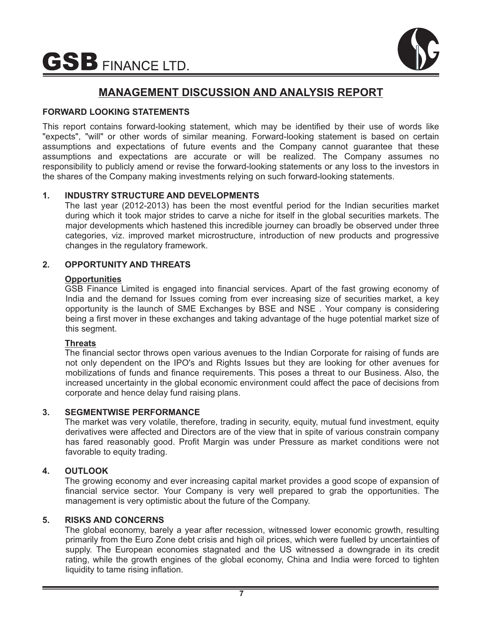

## **MANAGEMENT DISCUSSION AND ANALYSIS REPORT**

#### **FORWARD LOOKING STATEMENTS**

This report contains forward-looking statement, which may be identified by their use of words like "expects", "will" or other words of similar meaning. Forward-looking statement is based on certain assumptions and expectations of future events and the Company cannot guarantee that these assumptions and expectations are accurate or will be realized. The Company assumes no responsibility to publicly amend or revise the forward-looking statements or any loss to the investors in the shares of the Company making investments relying on such forward-looking statements.

#### **1. INDUSTRY STRUCTURE AND DEVELOPMENTS**

The last year (2012-2013) has been the most eventful period for the Indian securities market during which it took major strides to carve a niche for itself in the global securities markets. The major developments which hastened this incredible journey can broadly be observed under three categories, viz. improved market microstructure, introduction of new products and progressive changes in the regulatory framework.

#### **2. OPPORTUNITY AND THREATS**

#### **Opportunities**

GSB Finance Limited is engaged into financial services. Apart of the fast growing economy of India and the demand for Issues coming from ever increasing size of securities market, a key opportunity is the launch of SME Exchanges by BSE and NSE . Your company is considering being a first mover in these exchanges and taking advantage of the huge potential market size of this segment.

#### **Threats**

The financial sector throws open various avenues to the Indian Corporate for raising of funds are not only dependent on the IPO's and Rights Issues but they are looking for other avenues for mobilizations of funds and finance requirements. This poses a threat to our Business. Also, the increased uncertainty in the global economic environment could affect the pace of decisions from corporate and hence delay fund raising plans.

#### **3. SEGMENTWISE PERFORMANCE**

The market was very volatile, therefore, trading in security, equity, mutual fund investment, equity derivatives were affected and Directors are of the view that in spite of various constrain company has fared reasonably good. Profit Margin was under Pressure as market conditions were not favorable to equity trading.

#### **4. OUTLOOK**

The growing economy and ever increasing capital market provides a good scope of expansion of financial service sector. Your Company is very well prepared to grab the opportunities. The management is very optimistic about the future of the Company.

#### **5. RISKS AND CONCERNS**

The global economy, barely a year after recession, witnessed lower economic growth, resulting primarily from the Euro Zone debt crisis and high oil prices, which were fuelled by uncertainties of supply. The European economies stagnated and the US witnessed a downgrade in its credit rating, while the growth engines of the global economy, China and India were forced to tighten liquidity to tame rising inflation.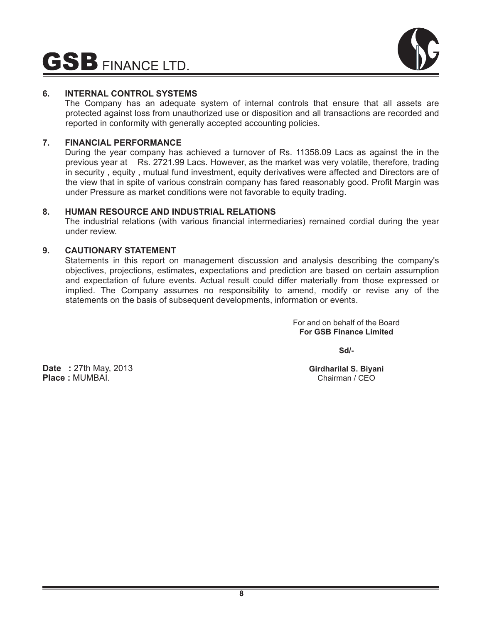

#### **6. INTERNAL CONTROL SYSTEMS**

The Company has an adequate system of internal controls that ensure that all assets are protected against loss from unauthorized use or disposition and all transactions are recorded and reported in conformity with generally accepted accounting policies.

#### **7. FINANCIAL PERFORMANCE**

During the year company has achieved a turnover of Rs. 11358.09 Lacs as against the in the previous year at Rs. 2721.99 Lacs. However, as the market was very volatile, therefore, trading in security , equity , mutual fund investment, equity derivatives were affected and Directors are of the view that in spite of various constrain company has fared reasonably good. Profit Margin was under Pressure as market conditions were not favorable to equity trading.

#### **8. HUMAN RESOURCE AND INDUSTRIAL RELATIONS**

The industrial relations (with various financial intermediaries) remained cordial during the year under review.

#### **9. CAUTIONARY STATEMENT**

Statements in this report on management discussion and analysis describing the company's objectives, projections, estimates, expectations and prediction are based on certain assumption and expectation of future events. Actual result could differ materially from those expressed or implied. The Company assumes no responsibility to amend, modify or revise any of the statements on the basis of subsequent developments, information or events.

> For and on behalf of the Board **For GSB Finance Limited**

> > **Sd/-**

**Date :** 27th May, 2013 **Place :** MUMBAI.

**Girdharilal S. Biyani** Chairman / CEO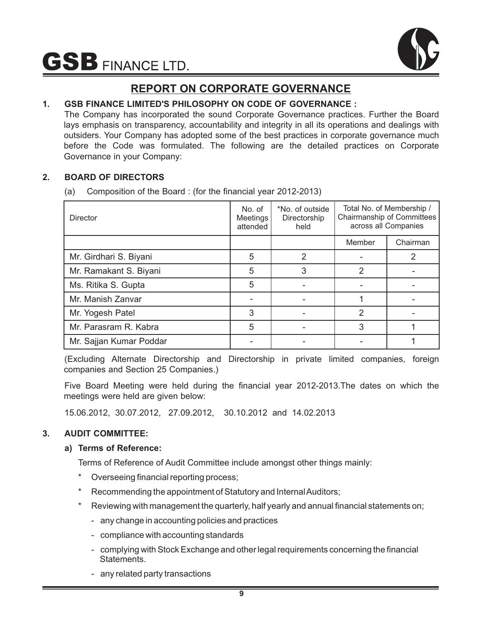# $\mathbf{GSB}$  FINANCE LTD.



# **REPORT ON CORPORATE GOVERNANCE**

## **1. GSB FINANCE LIMITED'S PHILOSOPHY ON CODE OF GOVERNANCE :**

The Company has incorporated the sound Corporate Governance practices. Further the Board lays emphasis on transparency, accountability and integrity in all its operations and dealings with outsiders. Your Company has adopted some of the best practices in corporate governance much before the Code was formulated. The following are the detailed practices on Corporate Governance in your Company:

#### **2. BOARD OF DIRECTORS**

(a) Composition of the Board : (for the financial year 2012-2013)

| <b>Director</b>         | No. of<br>Meetings<br>attended | *No. of outside<br>Directorship<br>held |               | Total No. of Membership /<br>Chairmanship of Committees<br>across all Companies |
|-------------------------|--------------------------------|-----------------------------------------|---------------|---------------------------------------------------------------------------------|
|                         |                                |                                         | Member        | Chairman                                                                        |
| Mr. Girdhari S. Biyani  | 5                              | $\mathfrak{p}$                          |               | 2                                                                               |
| Mr. Ramakant S. Biyani  | 5                              | 3                                       | 2             |                                                                                 |
| Ms. Ritika S. Gupta     | 5                              |                                         |               |                                                                                 |
| Mr. Manish Zanvar       |                                |                                         |               |                                                                                 |
| Mr. Yogesh Patel        | 3                              |                                         | $\mathcal{P}$ |                                                                                 |
| Mr. Parasram R. Kabra   | 5                              |                                         | 3             |                                                                                 |
| Mr. Sajjan Kumar Poddar |                                |                                         |               |                                                                                 |

(Excluding Alternate Directorship and Directorship in private limited companies, foreign companies and Section 25 Companies.)

Five Board Meeting were held during the financial year 2012-2013.The dates on which the meetings were held are given below:

15.06.2012, 30.07.2012, 27.09.2012, 30.10.2012 and 14.02.2013

#### **3. AUDIT COMMITTEE:**

#### **a) Terms of Reference:**

Terms of Reference of Audit Committee include amongst other things mainly:

- Overseeing financial reporting process;
- Recommending the appointment of Statutory and Internal Auditors;
- Reviewing with management the quarterly, half yearly and annual financial statements on;
	- any change in accounting policies and practices
	- compliance with accounting standards
	- complying with Stock Exchange and other legal requirements concerning the financial Statements.
	- any related party transactions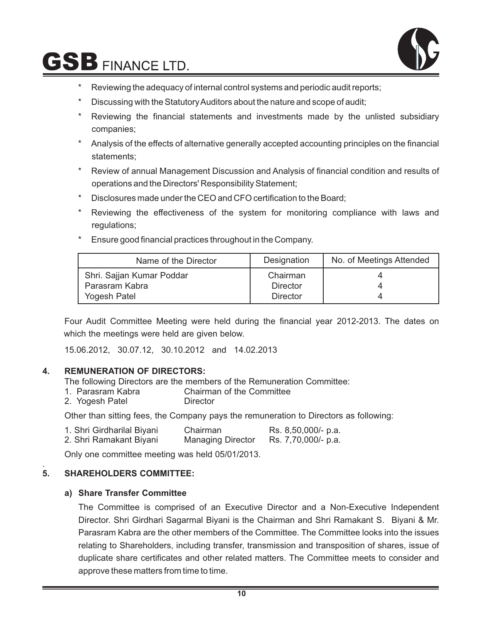# $\mathbf{GSB}$  finance ltd.



- Reviewing the adequacy of internal control systems and periodic audit reports;
- Discussing with the Statutory Auditors about the nature and scope of audit;
- Reviewing the financial statements and investments made by the unlisted subsidiary companies;
- \* Analysis of the effects of alternative generally accepted accounting principles on the financial statements;
- \* Review of annual Management Discussion and Analysis of financial condition and results of operations and the Directors' Responsibility Statement;
- Disclosures made under the CEO and CFO certification to the Board;
- Reviewing the effectiveness of the system for monitoring compliance with laws and regulations;
- \* Ensure good financial practices throughout in the Company.

| Name of the Director                                        | Designation                                    | No. of Meetings Attended |
|-------------------------------------------------------------|------------------------------------------------|--------------------------|
| Shri. Sajjan Kumar Poddar<br>Parasram Kabra<br>Yogesh Patel | Chairman<br><b>Director</b><br><b>Director</b> |                          |

Four Audit Committee Meeting were held during the financial year 2012-2013. The dates on which the meetings were held are given below.

15.06.2012, 30.07.12, 30.10.2012 and 14.02.2013

#### **4. REMUNERATION OF DIRECTORS:**

The following Directors are the members of the Remuneration Committee:<br>1. Parasram Kabra Chairman of the Committee

- Chairman of the Committee
- 2. Yogesh Patel Director

Other than sitting fees, the Company pays the remuneration to Directors as following:

| 1. Shri Girdharilal Biyani | Chairman                 | Rs. 8,50,000/- p.a. |
|----------------------------|--------------------------|---------------------|
| 2. Shri Ramakant Biyani    | <b>Managing Director</b> | Rs. 7,70,000/- p.a. |

Only one committee meeting was held 05/01/2013.

#### . **5. SHAREHOLDERS COMMITTEE:**

#### **a) Share Transfer Committee**

The Committee is comprised of an Executive Director and a Non-Executive Independent Director. Shri Girdhari Sagarmal Biyani is the Chairman and Shri Ramakant S. Biyani & Mr. Parasram Kabra are the other members of the Committee. The Committee looks into the issues relating to Shareholders, including transfer, transmission and transposition of shares, issue of duplicate share certificates and other related matters. The Committee meets to consider and approve these matters from time to time.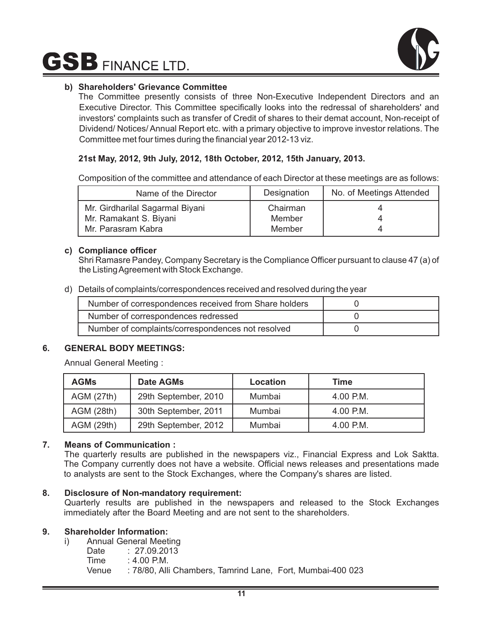$\mathbf{GSB}$  finance ltd.



#### **b) Shareholders' Grievance Committee**

The Committee presently consists of three Non-Executive Independent Directors and an Executive Director. This Committee specifically looks into the redressal of shareholders' and investors' complaints such as transfer of Credit of shares to their demat account, Non-receipt of Dividend/ Notices/ Annual Report etc. with a primary objective to improve investor relations. The Committee met four times during the financial year 2012-13 viz.

#### **21st May, 2012, 9th July, 2012, 18th October, 2012, 15th January, 2013.**

Composition of the committee and attendance of each Director at these meetings are as follows:

| Name of the Director            | Designation | No. of Meetings Attended |
|---------------------------------|-------------|--------------------------|
| Mr. Girdharilal Sagarmal Biyani | Chairman    |                          |
| Mr. Ramakant S. Biyani          | Member      |                          |
| Mr. Parasram Kabra              | Member      |                          |

#### **c) Compliance officer**

Shri Ramasre Pandey, Company Secretary is the Compliance Officer pursuant to clause 47 (a) of the Listing Agreement with Stock Exchange.

d) Details of complaints/correspondences received and resolved during the year

| Number of correspondences received from Share holders |  |
|-------------------------------------------------------|--|
| Number of correspondences redressed                   |  |
| Number of complaints/correspondences not resolved     |  |

#### **6. GENERAL BODY MEETINGS:**

Annual General Meeting :

| <b>AGMs</b>       | <b>Date AGMs</b>     | Location | Time      |
|-------------------|----------------------|----------|-----------|
| AGM (27th)        | 29th September, 2010 | Mumbai   | 4.00 P.M. |
| <b>AGM (28th)</b> | 30th September, 2011 | Mumbai   | 4.00 P.M. |
| AGM (29th)        | 29th September, 2012 | Mumbai   | 4.00 P.M. |

#### **7. Means of Communication :**

The quarterly results are published in the newspapers viz., Financial Express and Lok Saktta. The Company currently does not have a website. Official news releases and presentations made to analysts are sent to the Stock Exchanges, where the Company's shares are listed.

#### **8. Disclosure of Non-mandatory requirement:**

Quarterly results are published in the newspapers and released to the Stock Exchanges immediately after the Board Meeting and are not sent to the shareholders.

#### **9. Shareholder Information:**

- i) Annual General Meeting
	- Date : 27.09.2013
	- Time : 4.00 P.M.
	- Venue : 78/80, Alli Chambers, Tamrind Lane, Fort, Mumbai-400 023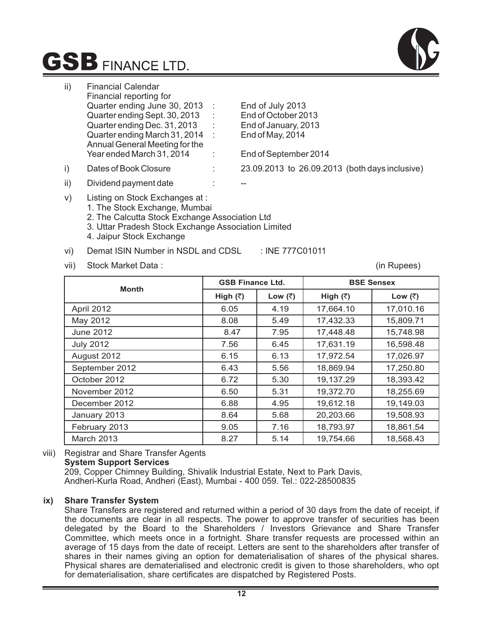# $\mathbf{GSB}$  FINANCE LTD.



| ii) | <b>Financial Calendar</b><br>Financial reporting for<br>Quarter ending June 30, 2013<br>Quarter ending Sept. 30, 2013<br>Quarter ending Dec. 31, 2013<br>Quarter ending March 31, 2014 :<br>Annual General Meeting for the<br>Year ended March 31, 2014 | $\sim$ 10<br>- 11<br>$\sim 100$ | End of July 2013<br>End of October 2013<br>End of January, 2013<br>End of May, 2014<br>End of September 2014 |
|-----|---------------------------------------------------------------------------------------------------------------------------------------------------------------------------------------------------------------------------------------------------------|---------------------------------|--------------------------------------------------------------------------------------------------------------|
|     |                                                                                                                                                                                                                                                         |                                 |                                                                                                              |
| i)  | Dates of Book Closure                                                                                                                                                                                                                                   | $\mathbf{r}$                    | 23.09.2013 to 26.09.2013 (both days inclusive)                                                               |
| ii) | Dividend payment date                                                                                                                                                                                                                                   |                                 |                                                                                                              |

- v) Listing on Stock Exchanges at : 1. The Stock Exchange, Mumbai 2. The Calcutta Stock Exchange Association Ltd 3. Uttar Pradesh Stock Exchange Association Limited 4. Jaipur Stock Exchange
- vi) Demat ISIN Number in NSDL and CDSL : INE 777C01011
- vii) Stock Market Data : (in Rupees) (in Rupees)

| <b>Month</b>     |                       | <b>GSB Finance Ltd.</b> |                  | <b>BSE Sensex</b> |
|------------------|-----------------------|-------------------------|------------------|-------------------|
|                  | High $(\overline{z})$ | Low $($ ₹)              | High $(\bar{z})$ | Low (₹)           |
| April 2012       | 6.05                  | 4.19                    | 17,664.10        | 17,010.16         |
| May 2012         | 8.08                  | 5.49                    | 17,432.33        | 15,809.71         |
| <b>June 2012</b> | 8.47                  | 7.95                    | 17,448.48        | 15,748.98         |
| <b>July 2012</b> | 7.56                  | 6.45                    | 17,631.19        | 16,598.48         |
| August 2012      | 6.15                  | 6.13                    | 17,972.54        | 17,026.97         |
| September 2012   | 6.43                  | 5.56                    | 18,869.94        | 17,250.80         |
| October 2012     | 6.72                  | 5.30                    | 19,137.29        | 18,393.42         |
| November 2012    | 6.50                  | 5.31                    | 19,372.70        | 18,255.69         |
| December 2012    | 6.88                  | 4.95                    | 19,612.18        | 19,149.03         |
| January 2013     | 8.64                  | 5.68                    | 20,203.66        | 19,508.93         |
| February 2013    | 9.05                  | 7.16                    | 18,793.97        | 18,861.54         |
| March 2013       | 8.27                  | 5.14                    | 19,754.66        | 18,568.43         |

#### viii) Registrar and Share Transfer Agents

#### **System Support Services**

209, Copper Chimney Building, Shivalik Industrial Estate, Next to Park Davis, Andheri-Kurla Road, Andheri (East), Mumbai - 400 059. Tel.: 022-28500835

#### **ix) Share Transfer System**

Share Transfers are registered and returned within a period of 30 days from the date of receipt, if the documents are clear in all respects. The power to approve transfer of securities has been delegated by the Board to the Shareholders / Investors Grievance and Share Transfer Committee, which meets once in a fortnight. Share transfer requests are processed within an average of 15 days from the date of receipt. Letters are sent to the shareholders after transfer of shares in their names giving an option for dematerialisation of shares of the physical shares. Physical shares are dematerialised and electronic credit is given to those shareholders, who opt for dematerialisation, share certificates are dispatched by Registered Posts.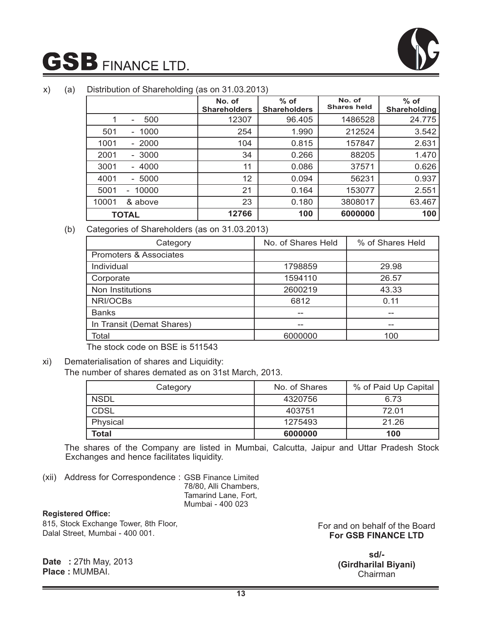

#### x) (a) Distribution of Shareholding (as on 31.03.2013)

|                                           | No. of<br><b>Shareholders</b> | $%$ of<br><b>Shareholders</b> | No. of<br><b>Shares held</b> | $%$ of<br>Shareholding |
|-------------------------------------------|-------------------------------|-------------------------------|------------------------------|------------------------|
| 500<br>$\qquad \qquad -$                  | 12307                         | 96.405                        | 1486528                      | 24.775                 |
| $-1000$<br>501                            | 254                           | 1.990                         | 212524                       | 3.542                  |
| 1001<br>$-2000$                           | 104                           | 0.815                         | 157847                       | 2.631                  |
| 2001<br>$-3000$                           | 34                            | 0.266                         | 88205                        | 1.470                  |
| 3001<br>$-4000$                           | 11                            | 0.086                         | 37571                        | 0.626                  |
| 4001<br>$-5000$                           | 12                            | 0.094                         | 56231                        | 0.937                  |
| 5001<br>10000<br>$\overline{\phantom{0}}$ | 21                            | 0.164                         | 153077                       | 2.551                  |
| 10001<br>& above                          | 23                            | 0.180                         | 3808017                      | 63.467                 |
| <b>TOTAL</b>                              | 12766                         | 100                           | 6000000                      | 100                    |

#### (b) Categories of Shareholders (as on 31.03.2013)

| Category                  | No. of Shares Held | % of Shares Held |
|---------------------------|--------------------|------------------|
| Promoters & Associates    |                    |                  |
| Individual                | 1798859            | 29.98            |
| Corporate                 | 1594110            | 26.57            |
| Non Institutions          | 2600219            | 43.33            |
| NRI/OCBs                  | 6812               | 0.11             |
| <b>Banks</b>              | --                 | $- -$            |
| In Transit (Demat Shares) | --                 | $- -$            |
| Total                     | 6000000            | 100              |

The stock code on BSE is 511543

#### xi) Dematerialisation of shares and Liquidity:

The number of shares demated as on 31st March, 2013.

| Category    | No. of Shares | % of Paid Up Capital |
|-------------|---------------|----------------------|
| <b>NSDL</b> | 4320756       | 6.73                 |
| <b>CDSL</b> | 403751        | 72 01                |
| Physical    | 1275493       | 21.26                |
| Total       | 6000000       | 100                  |

The shares of the Company are listed in Mumbai, Calcutta, Jaipur and Uttar Pradesh Stock Exchanges and hence facilitates liquidity.

(xii) Address for Correspondence : GSB Finance Limited 78/80, Alli Chambers,

Tamarind Lane, Fort, Mumbai - 400 023

#### **Registered Office:**

815, Stock Exchange Tower, 8th Floor, Dalal Street, Mumbai - 400 001.

For and on behalf of the Board **For GSB FINANCE LTD**

**Date :** 27th May, 2013 **Place :** MUMBAI.

**sd/- (Girdharilal Biyani)** Chairman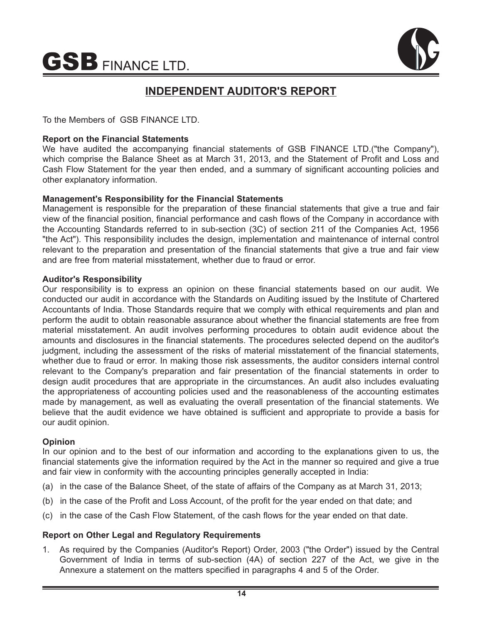

## **INDEPENDENT AUDITOR'S REPORT**

To the Members of GSB FINANCE LTD.

#### **Report on the Financial Statements**

We have audited the accompanying financial statements of GSB FINANCE LTD.("the Company"), which comprise the Balance Sheet as at March 31, 2013, and the Statement of Profit and Loss and Cash Flow Statement for the year then ended, and a summary of significant accounting policies and other explanatory information.

#### **Management's Responsibility for the Financial Statements**

Management is responsible for the preparation of these financial statements that give a true and fair view of the financial position, financial performance and cash flows of the Company in accordance with the Accounting Standards referred to in sub-section (3C) of section 211 of the Companies Act, 1956 "the Act"). This responsibility includes the design, implementation and maintenance of internal control relevant to the preparation and presentation of the financial statements that give a true and fair view and are free from material misstatement, whether due to fraud or error.

#### **Auditor's Responsibility**

Our responsibility is to express an opinion on these financial statements based on our audit. We conducted our audit in accordance with the Standards on Auditing issued by the Institute of Chartered Accountants of India. Those Standards require that we comply with ethical requirements and plan and perform the audit to obtain reasonable assurance about whether the financial statements are free from material misstatement. An audit involves performing procedures to obtain audit evidence about the amounts and disclosures in the financial statements. The procedures selected depend on the auditor's judgment, including the assessment of the risks of material misstatement of the financial statements, whether due to fraud or error. In making those risk assessments, the auditor considers internal control relevant to the Company's preparation and fair presentation of the financial statements in order to design audit procedures that are appropriate in the circumstances. An audit also includes evaluating the appropriateness of accounting policies used and the reasonableness of the accounting estimates made by management, as well as evaluating the overall presentation of the financial statements. We believe that the audit evidence we have obtained is sufficient and appropriate to provide a basis for our audit opinion.

#### **Opinion**

In our opinion and to the best of our information and according to the explanations given to us, the financial statements give the information required by the Act in the manner so required and give a true and fair view in conformity with the accounting principles generally accepted in India:

- (a) in the case of the Balance Sheet, of the state of affairs of the Company as at March 31, 2013;
- (b) in the case of the Profit and Loss Account, of the profit for the year ended on that date; and
- (c) in the case of the Cash Flow Statement, of the cash flows for the year ended on that date.

#### **Report on Other Legal and Regulatory Requirements**

1. As required by the Companies (Auditor's Report) Order, 2003 ("the Order") issued by the Central Government of India in terms of sub-section (4A) of section 227 of the Act, we give in the Annexure a statement on the matters specified in paragraphs 4 and 5 of the Order.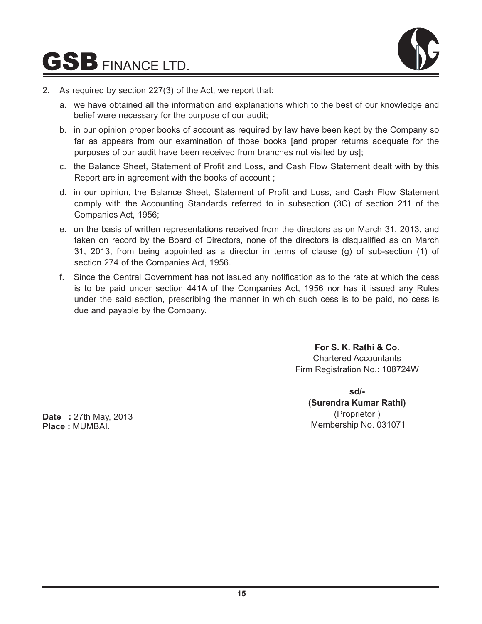

- 2. As required by section 227(3) of the Act, we report that:
	- a. we have obtained all the information and explanations which to the best of our knowledge and belief were necessary for the purpose of our audit;
	- b. in our opinion proper books of account as required by law have been kept by the Company so far as appears from our examination of those books [and proper returns adequate for the purposes of our audit have been received from branches not visited by us];
	- c. the Balance Sheet, Statement of Profit and Loss, and Cash Flow Statement dealt with by this Report are in agreement with the books of account ;
	- d. in our opinion, the Balance Sheet, Statement of Profit and Loss, and Cash Flow Statement comply with the Accounting Standards referred to in subsection (3C) of section 211 of the Companies Act, 1956;
	- e. on the basis of written representations received from the directors as on March 31, 2013, and taken on record by the Board of Directors, none of the directors is disqualified as on March 31, 2013, from being appointed as a director in terms of clause (g) of sub-section (1) of section 274 of the Companies Act, 1956.
	- f. Since the Central Government has not issued any notification as to the rate at which the cess is to be paid under section 441A of the Companies Act, 1956 nor has it issued any Rules under the said section, prescribing the manner in which such cess is to be paid, no cess is due and payable by the Company.

**For S. K. Rathi & Co.** Chartered Accountants Firm Registration No.: 108724W

> **sd/- (Surendra Kumar Rathi)** (Proprietor ) Membership No. 031071

**Date** : 27th May, 2013 **Place :** MUMBAI.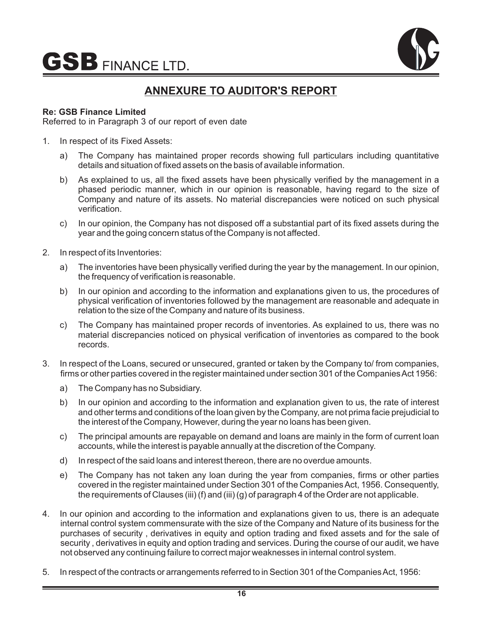

# **ANNEXURE TO AUDITOR'S REPORT**

#### **Re: GSB Finance Limited**

Referred to in Paragraph 3 of our report of even date

- 1. In respect of its Fixed Assets:
	- a) The Company has maintained proper records showing full particulars including quantitative details and situation of fixed assets on the basis of available information.
	- b) As explained to us, all the fixed assets have been physically verified by the management in a phased periodic manner, which in our opinion is reasonable, having regard to the size of Company and nature of its assets. No material discrepancies were noticed on such physical verification.
	- c) In our opinion, the Company has not disposed off a substantial part of its fixed assets during the year and the going concern status of the Company is not affected.
- 2. In respect of its Inventories:
	- a) The inventories have been physically verified during the year by the management. In our opinion, the frequency of verification is reasonable.
	- b) In our opinion and according to the information and explanations given to us, the procedures of physical verification of inventories followed by the management are reasonable and adequate in relation to the size of the Company and nature of its business.
	- c) The Company has maintained proper records of inventories. As explained to us, there was no material discrepancies noticed on physical verification of inventories as compared to the book records.
- 3. In respect of the Loans, secured or unsecured, granted or taken by the Company to/ from companies, firms or other parties covered in the register maintained under section 301 of the Companies Act 1956:
	- a) The Company has no Subsidiary.
	- b) In our opinion and according to the information and explanation given to us, the rate of interest and other terms and conditions of the loan given by the Company, are not prima facie prejudicial to the interest of the Company, However, during the year no loans has been given.
	- c) The principal amounts are repayable on demand and loans are mainly in the form of current loan accounts, while the interest is payable annually at the discretion of the Company.
	- d) In respect of the said loans and interest thereon, there are no overdue amounts.
	- e) The Company has not taken any loan during the year from companies, firms or other parties covered in the register maintained under Section 301 of the Companies Act, 1956. Consequently, the requirements of Clauses (iii) (f) and (iii) (g) of paragraph 4 of the Order are not applicable.
- 4. In our opinion and according to the information and explanations given to us, there is an adequate internal control system commensurate with the size of the Company and Nature of its business for the purchases of security , derivatives in equity and option trading and fixed assets and for the sale of security , derivatives in equity and option trading and services. During the course of our audit, we have not observed any continuing failure to correct major weaknesses in internal control system.
- 5. In respect of the contracts or arrangements referred to in Section 301 of the Companies Act, 1956: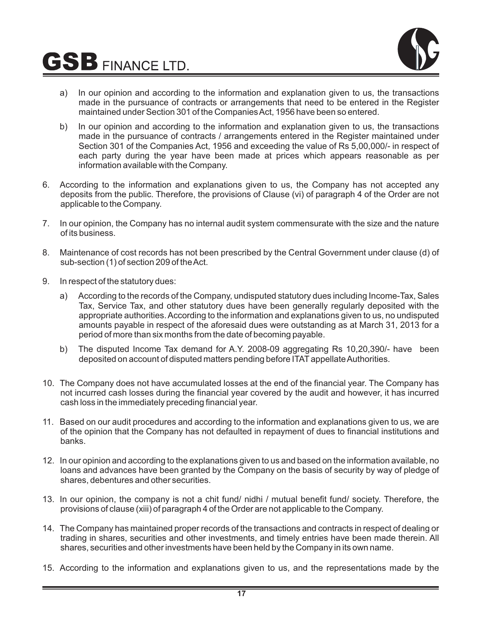

- a) In our opinion and according to the information and explanation given to us, the transactions made in the pursuance of contracts or arrangements that need to be entered in the Register maintained under Section 301 of the Companies Act, 1956 have been so entered.
- b) In our opinion and according to the information and explanation given to us, the transactions made in the pursuance of contracts / arrangements entered in the Register maintained under Section 301 of the Companies Act, 1956 and exceeding the value of Rs 5,00,000/- in respect of each party during the year have been made at prices which appears reasonable as per information available with the Company.
- 6. According to the information and explanations given to us, the Company has not accepted any deposits from the public. Therefore, the provisions of Clause (vi) of paragraph 4 of the Order are not applicable to the Company.
- 7. In our opinion, the Company has no internal audit system commensurate with the size and the nature of its business.
- 8. Maintenance of cost records has not been prescribed by the Central Government under clause (d) of sub-section (1) of section 209 of the Act.
- 9. In respect of the statutory dues:
	- a) According to the records of the Company, undisputed statutory dues including Income-Tax, Sales Tax, Service Tax, and other statutory dues have been generally regularly deposited with the appropriate authorities. According to the information and explanations given to us, no undisputed amounts payable in respect of the aforesaid dues were outstanding as at March 31, 2013 for a period of more than six months from the date of becoming payable.
	- b) The disputed Income Tax demand for A.Y. 2008-09 aggregating Rs 10,20,390/- have been deposited on account of disputed matters pending before ITAT appellate Authorities.
- 10. The Company does not have accumulated losses at the end of the financial year. The Company has not incurred cash losses during the financial year covered by the audit and however, it has incurred cash loss in the immediately preceding financial year.
- 11. Based on our audit procedures and according to the information and explanations given to us, we are of the opinion that the Company has not defaulted in repayment of dues to financial institutions and banks.
- 12. In our opinion and according to the explanations given to us and based on the information available, no loans and advances have been granted by the Company on the basis of security by way of pledge of shares, debentures and other securities.
- 13. In our opinion, the company is not a chit fund/ nidhi / mutual benefit fund/ society. Therefore, the provisions of clause (xiii) of paragraph 4 of the Order are not applicable to the Company.
- 14. The Company has maintained proper records of the transactions and contracts in respect of dealing or trading in shares, securities and other investments, and timely entries have been made therein. All shares, securities and other investments have been held by the Company in its own name.
- 15. According to the information and explanations given to us, and the representations made by the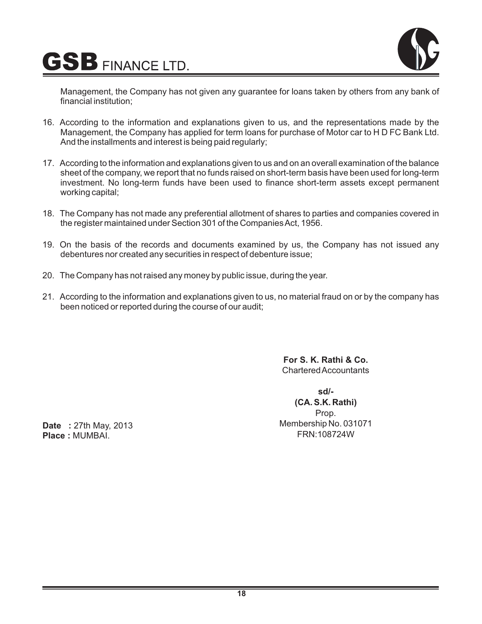

Management, the Company has not given any guarantee for loans taken by others from any bank of financial institution;

- 16. According to the information and explanations given to us, and the representations made by the Management, the Company has applied for term loans for purchase of Motor car to H D FC Bank Ltd. And the installments and interest is being paid regularly;
- 17. According to the information and explanations given to us and on an overall examination of the balance sheet of the company, we report that no funds raised on short-term basis have been used for long-term investment. No long-term funds have been used to finance short-term assets except permanent working capital;
- 18. The Company has not made any preferential allotment of shares to parties and companies covered in the register maintained under Section 301 of the Companies Act, 1956.
- 19. On the basis of the records and documents examined by us, the Company has not issued any debentures nor created any securities in respect of debenture issue;
- 20. The Company has not raised any money by public issue, during the year.
- 21. According to the information and explanations given to us, no material fraud on or by the company has been noticed or reported during the course of our audit;

**For S. K. Rathi & Co.** Chartered Accountants

**sd/- (CA. S.K. Rathi)** Prop. Membership No. 031071 FRN:108724W

**Date** : 27th May, 2013 **Place :** MUMBAI.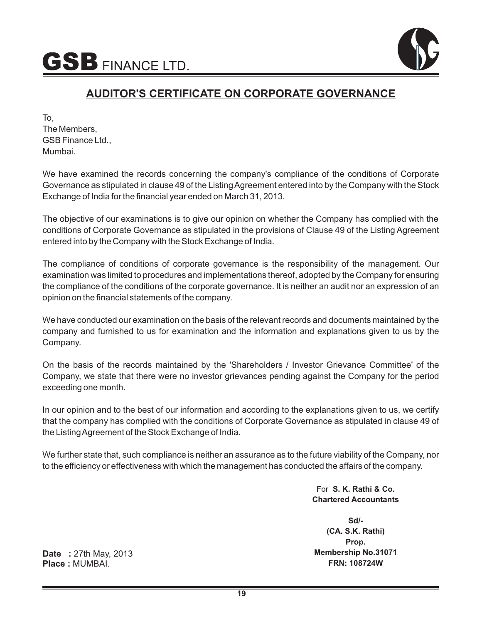

## **AUDITOR'S CERTIFICATE ON CORPORATE GOVERNANCE**

To, The Members, GSB Finance Ltd., Mumbai.

We have examined the records concerning the company's compliance of the conditions of Corporate Governance as stipulated in clause 49 of the Listing Agreement entered into by the Company with the Stock Exchange of India for the financial year ended on March 31, 2013.

The objective of our examinations is to give our opinion on whether the Company has complied with the conditions of Corporate Governance as stipulated in the provisions of Clause 49 of the Listing Agreement entered into by the Company with the Stock Exchange of India.

The compliance of conditions of corporate governance is the responsibility of the management. Our examination was limited to procedures and implementations thereof, adopted by the Company for ensuring the compliance of the conditions of the corporate governance. It is neither an audit nor an expression of an opinion on the financial statements of the company.

We have conducted our examination on the basis of the relevant records and documents maintained by the company and furnished to us for examination and the information and explanations given to us by the Company.

On the basis of the records maintained by the 'Shareholders / Investor Grievance Committee' of the Company, we state that there were no investor grievances pending against the Company for the period exceeding one month.

In our opinion and to the best of our information and according to the explanations given to us, we certify that the company has complied with the conditions of Corporate Governance as stipulated in clause 49 of the Listing Agreement of the Stock Exchange of India.

We further state that, such compliance is neither an assurance as to the future viability of the Company, nor to the efficiency or effectiveness with which the management has conducted the affairs of the company.

#### For **S. K. Rathi & Co. Chartered Accountants**

**Sd/- (CA. S.K. Rathi) Prop. Membership No.31071 FRN: 108724W**

**Date** : 27th May, 2013 **Place :** MUMBAI.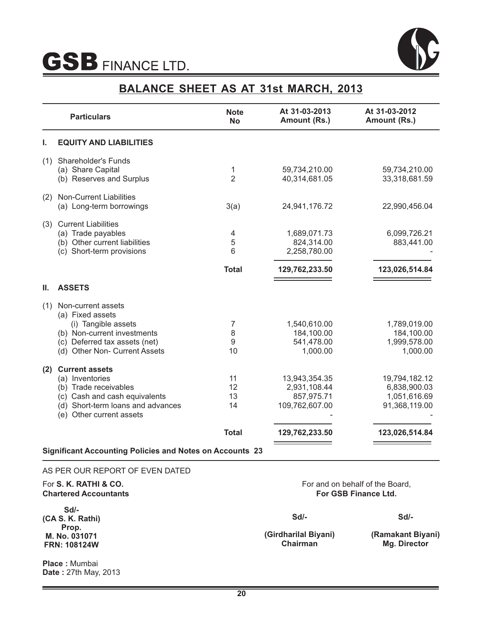

# **BALANCE SHEET AS AT 31st MARCH, 2013**

|     | <b>Particulars</b>                                                                                                                                                  | <b>Note</b><br><b>No</b>    | At 31-03-2013<br>Amount (Rs.)                                 | At 31-03-2012<br>Amount (Rs.)                                  |
|-----|---------------------------------------------------------------------------------------------------------------------------------------------------------------------|-----------------------------|---------------------------------------------------------------|----------------------------------------------------------------|
| ı.  | <b>EQUITY AND LIABILITIES</b>                                                                                                                                       |                             |                                                               |                                                                |
| (1) | <b>Shareholder's Funds</b><br>(a) Share Capital<br>(b) Reserves and Surplus                                                                                         | 1<br>$\overline{2}$         | 59,734,210.00<br>40,314,681.05                                | 59,734,210.00<br>33,318,681.59                                 |
| (2) | Non-Current Liabilities<br>(a) Long-term borrowings                                                                                                                 | 3(a)                        | 24,941,176.72                                                 | 22,990,456.04                                                  |
| (3) | <b>Current Liabilities</b><br>(a) Trade payables<br>(b) Other current liabilities<br>(c) Short-term provisions                                                      | 4<br>5<br>6<br><b>Total</b> | 1,689,071.73<br>824,314.00<br>2,258,780.00                    | 6,099,726.21<br>883,441.00                                     |
| Ш.  | <b>ASSETS</b>                                                                                                                                                       |                             | 129,762,233.50                                                | 123,026,514.84                                                 |
| (1) | Non-current assets<br>(a) Fixed assets<br>(i) Tangible assets<br>(b) Non-current investments<br>(c) Deferred tax assets (net)<br>(d) Other Non- Current Assets      | 7<br>8<br>9<br>10           | 1,540,610.00<br>184,100.00<br>541,478.00<br>1,000.00          | 1,789,019.00<br>184,100.00<br>1,999,578.00<br>1,000.00         |
| (2) | <b>Current assets</b><br>(a) Inventories<br>(b) Trade receivables<br>(c) Cash and cash equivalents<br>(d) Short-term loans and advances<br>(e) Other current assets | 11<br>12<br>13<br>14        | 13,943,354.35<br>2,931,108.44<br>857,975.71<br>109,762,607.00 | 19,794,182.12<br>6,838,900.03<br>1,051,616.69<br>91,368,119.00 |
|     |                                                                                                                                                                     | <b>Total</b>                | 129,762,233.50                                                | 123,026,514.84                                                 |
|     | <b>Significant Accounting Policies and Notes on Accounts 23</b>                                                                                                     |                             |                                                               |                                                                |

#### AS PER OUR REPORT OF EVEN DATED

For **S. K. RATHI & CO. Chartered Accountants**

**Sd/- (CA S. K. Rathi) Prop. M. No. 031071 FRN: 108124W**

For and on behalf of the Board, **For GSB Finance Ltd.** 

**Sd/-**

**Sd/-**

**(Girdharilal Biyani) Chairman**

**(Ramakant Biyani) Mg. Director** 

and the control of the control of the

**Place :** Mumbai **Date :** 27th May, 2013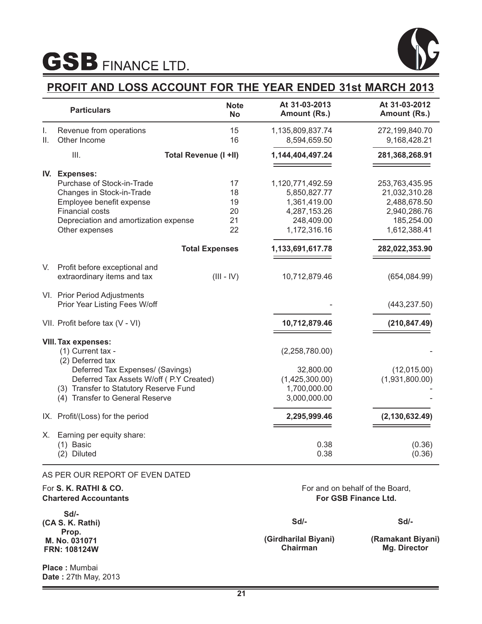



## **PROFIT AND LOSS ACCOUNT FOR THE YEAR ENDED 31st MARCH 2013**

|     | <b>Particulars</b>                                           | <b>Note</b><br><b>No</b>     | At 31-03-2013<br>Amount (Rs.) | At 31-03-2012<br>Amount (Rs.) |
|-----|--------------------------------------------------------------|------------------------------|-------------------------------|-------------------------------|
| I.  | Revenue from operations                                      | 15                           | 1,135,809,837.74              | 272,199,840.70                |
| II. | Other Income                                                 | 16                           | 8,594,659.50                  | 9,168,428.21                  |
|     | III.                                                         | <b>Total Revenue (I +II)</b> | 1,144,404,497.24              | 281,368,268.91                |
|     | IV. Expenses:                                                |                              |                               |                               |
|     | Purchase of Stock-in-Trade                                   | 17                           | 1,120,771,492.59              | 253,763,435.95                |
|     | Changes in Stock-in-Trade                                    | 18                           | 5,850,827.77                  | 21,032,310.28                 |
|     | Employee benefit expense                                     | 19                           | 1,361,419.00                  | 2,488,678.50                  |
|     | Financial costs                                              | 20                           | 4,287,153.26                  | 2,940,286.76                  |
|     | Depreciation and amortization expense                        | 21                           | 248,409.00                    | 185,254.00                    |
|     | Other expenses                                               | 22                           | 1,172,316.16                  | 1,612,388.41                  |
|     |                                                              | <b>Total Expenses</b>        | 1,133,691,617.78              | 282,022,353.90                |
| V.  | Profit before exceptional and<br>extraordinary items and tax | $(III - IV)$                 | 10,712,879.46                 | (654, 084.99)                 |
|     | VI. Prior Period Adjustments                                 |                              |                               |                               |
|     | Prior Year Listing Fees W/off                                |                              |                               | (443, 237.50)                 |
|     | VII. Profit before tax (V - VI)                              |                              | 10,712,879.46                 | (210, 847.49)                 |
|     | <b>VIII. Tax expenses:</b>                                   |                              |                               |                               |
|     | (1) Current tax -                                            |                              | (2,258,780.00)                |                               |
|     | (2) Deferred tax                                             |                              |                               |                               |
|     | Deferred Tax Expenses/ (Savings)                             |                              | 32,800.00                     | (12,015.00)                   |
|     | Deferred Tax Assets W/off (P.Y Created)                      |                              | (1,425,300.00)                | (1,931,800.00)                |
|     | (3) Transfer to Statutory Reserve Fund                       |                              | 1,700,000.00                  |                               |
|     | (4) Transfer to General Reserve                              |                              | 3,000,000.00                  |                               |
|     | IX. Profit/(Loss) for the period                             |                              | 2,295,999.46                  | (2, 130, 632.49)              |
| Х.  | Earning per equity share:                                    |                              |                               |                               |
|     | $(1)$ Basic                                                  |                              | 0.38                          | (0.36)                        |
|     | (2) Diluted                                                  |                              | 0.38                          | (0.36)                        |

#### AS PER OUR REPORT OF EVEN DATED

| For S. K. RATHI & CO.<br><b>Chartered Accountants</b>                       |                                            | For and on behalf of the Board,<br>For GSB Finance Ltd. |
|-----------------------------------------------------------------------------|--------------------------------------------|---------------------------------------------------------|
| $Sd$ -<br>(CA S. K. Rathi)<br>Prop.<br>M. No. 031071<br><b>FRN: 108124W</b> | $Sd$ -<br>(Girdharilal Biyani)<br>Chairman | $Sd$ -<br>(Ramakant Biyani)<br>Mg. Director             |
| <b>Place:</b> Mumbai<br><b>Date: 27th May, 2013</b>                         |                                            |                                                         |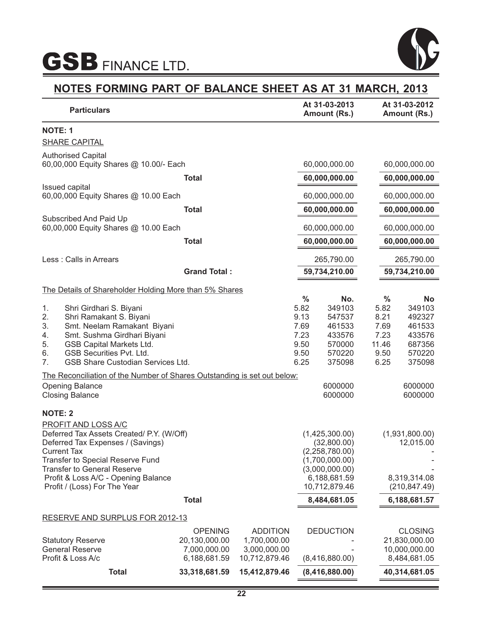

# **NOTES FORMING PART OF BALANCE SHEET AS AT 31 MARCH, 2013**

| <b>Particulars</b>                                                                                                                                                                                                                                                                                                                                                                                                                                                                                                                                                                                                                                                                                           |                                                                 |                                                                  |                                                              | At 31-03-2013<br>Amount (Rs.)                                                                                                                                                                                           |                                                               | At 31-03-2012<br>Amount (Rs.)                                                                                                                                  |
|--------------------------------------------------------------------------------------------------------------------------------------------------------------------------------------------------------------------------------------------------------------------------------------------------------------------------------------------------------------------------------------------------------------------------------------------------------------------------------------------------------------------------------------------------------------------------------------------------------------------------------------------------------------------------------------------------------------|-----------------------------------------------------------------|------------------------------------------------------------------|--------------------------------------------------------------|-------------------------------------------------------------------------------------------------------------------------------------------------------------------------------------------------------------------------|---------------------------------------------------------------|----------------------------------------------------------------------------------------------------------------------------------------------------------------|
| <b>NOTE: 1</b>                                                                                                                                                                                                                                                                                                                                                                                                                                                                                                                                                                                                                                                                                               |                                                                 |                                                                  |                                                              |                                                                                                                                                                                                                         |                                                               |                                                                                                                                                                |
| <b>SHARE CAPITAL</b>                                                                                                                                                                                                                                                                                                                                                                                                                                                                                                                                                                                                                                                                                         |                                                                 |                                                                  |                                                              |                                                                                                                                                                                                                         |                                                               |                                                                                                                                                                |
| <b>Authorised Capital</b>                                                                                                                                                                                                                                                                                                                                                                                                                                                                                                                                                                                                                                                                                    |                                                                 |                                                                  |                                                              |                                                                                                                                                                                                                         |                                                               |                                                                                                                                                                |
| 60,00,000 Equity Shares @ 10.00/- Each                                                                                                                                                                                                                                                                                                                                                                                                                                                                                                                                                                                                                                                                       |                                                                 |                                                                  |                                                              | 60,000,000.00                                                                                                                                                                                                           |                                                               | 60,000,000.00                                                                                                                                                  |
| Issued capital                                                                                                                                                                                                                                                                                                                                                                                                                                                                                                                                                                                                                                                                                               | <b>Total</b>                                                    |                                                                  |                                                              | 60,000,000.00                                                                                                                                                                                                           |                                                               | 60,000,000.00                                                                                                                                                  |
| 60,00,000 Equity Shares @ 10.00 Each                                                                                                                                                                                                                                                                                                                                                                                                                                                                                                                                                                                                                                                                         |                                                                 |                                                                  |                                                              | 60,000,000.00                                                                                                                                                                                                           |                                                               | 60,000,000.00                                                                                                                                                  |
|                                                                                                                                                                                                                                                                                                                                                                                                                                                                                                                                                                                                                                                                                                              | <b>Total</b>                                                    |                                                                  |                                                              | 60,000,000.00                                                                                                                                                                                                           |                                                               | 60,000,000.00                                                                                                                                                  |
| Subscribed And Paid Up<br>60,00,000 Equity Shares @ 10.00 Each                                                                                                                                                                                                                                                                                                                                                                                                                                                                                                                                                                                                                                               |                                                                 |                                                                  |                                                              | 60,000,000.00                                                                                                                                                                                                           |                                                               | 60,000,000.00                                                                                                                                                  |
|                                                                                                                                                                                                                                                                                                                                                                                                                                                                                                                                                                                                                                                                                                              | <b>Total</b>                                                    |                                                                  |                                                              | 60,000,000.00                                                                                                                                                                                                           |                                                               | 60,000,000.00                                                                                                                                                  |
| Less: Calls in Arrears                                                                                                                                                                                                                                                                                                                                                                                                                                                                                                                                                                                                                                                                                       |                                                                 |                                                                  |                                                              | 265,790.00                                                                                                                                                                                                              |                                                               | 265,790.00                                                                                                                                                     |
|                                                                                                                                                                                                                                                                                                                                                                                                                                                                                                                                                                                                                                                                                                              | <b>Grand Total:</b>                                             |                                                                  |                                                              | 59,734,210.00                                                                                                                                                                                                           |                                                               | 59,734,210.00                                                                                                                                                  |
| The Details of Shareholder Holding More than 5% Shares                                                                                                                                                                                                                                                                                                                                                                                                                                                                                                                                                                                                                                                       |                                                                 |                                                                  |                                                              |                                                                                                                                                                                                                         |                                                               |                                                                                                                                                                |
| Shri Girdhari S. Biyani<br>1.<br>2.<br>Shri Ramakant S. Biyani<br>3.<br>Smt. Neelam Ramakant Biyani<br>Smt. Sushma Girdhari Biyani<br>4.<br>5.<br>GSB Capital Markets Ltd.<br><b>GSB Securities Pvt. Ltd.</b><br>6.<br>7 <sub>1</sub><br>GSB Share Custodian Services Ltd.<br>The Reconciliation of the Number of Shares Outstanding is set out below:<br><b>Opening Balance</b><br><b>Closing Balance</b><br><b>NOTE: 2</b><br>PROFIT AND LOSS A/C<br>Deferred Tax Assets Created/ P.Y. (W/Off)<br>Deferred Tax Expenses / (Savings)<br><b>Current Tax</b><br>Transfer to Special Reserve Fund<br><b>Transfer to General Reserve</b><br>Profit & Loss A/C - Opening Balance<br>Profit / (Loss) For The Year |                                                                 |                                                                  | $\%$<br>5.82<br>9.13<br>7.69<br>7.23<br>9.50<br>9.50<br>6.25 | No.<br>349103<br>547537<br>461533<br>433576<br>570000<br>570220<br>375098<br>6000000<br>6000000<br>(1,425,300.00)<br>(32,800.00)<br>(2,258,780.00)<br>(1,700,000.00)<br>(3,000,000.00)<br>6,188,681.59<br>10,712,879.46 | $\%$<br>5.82<br>8.21<br>7.69<br>7.23<br>11.46<br>9.50<br>6.25 | No<br>349103<br>492327<br>461533<br>433576<br>687356<br>570220<br>375098<br>6000000<br>6000000<br>(1,931,800.00)<br>12,015.00<br>8,319,314.08<br>(210, 847.49) |
|                                                                                                                                                                                                                                                                                                                                                                                                                                                                                                                                                                                                                                                                                                              | <b>Total</b>                                                    |                                                                  |                                                              | 8,484,681.05                                                                                                                                                                                                            |                                                               | 6,188,681.57                                                                                                                                                   |
| RESERVE AND SURPLUS FOR 2012-13                                                                                                                                                                                                                                                                                                                                                                                                                                                                                                                                                                                                                                                                              |                                                                 |                                                                  |                                                              |                                                                                                                                                                                                                         |                                                               |                                                                                                                                                                |
| <b>Statutory Reserve</b><br><b>General Reserve</b><br>Profit & Loss A/c                                                                                                                                                                                                                                                                                                                                                                                                                                                                                                                                                                                                                                      | <b>OPENING</b><br>20,130,000.00<br>7,000,000.00<br>6,188,681.59 | <b>ADDITION</b><br>1,700,000.00<br>3,000,000.00<br>10,712,879.46 |                                                              | <b>DEDUCTION</b><br>(8,416,880.00)                                                                                                                                                                                      |                                                               | <b>CLOSING</b><br>21,830,000.00<br>10,000,000.00<br>8,484,681.05                                                                                               |
| <b>Total</b>                                                                                                                                                                                                                                                                                                                                                                                                                                                                                                                                                                                                                                                                                                 | 33,318,681.59                                                   | 15,412,879.46                                                    |                                                              | (8,416,880.00)                                                                                                                                                                                                          |                                                               | 40,314,681.05                                                                                                                                                  |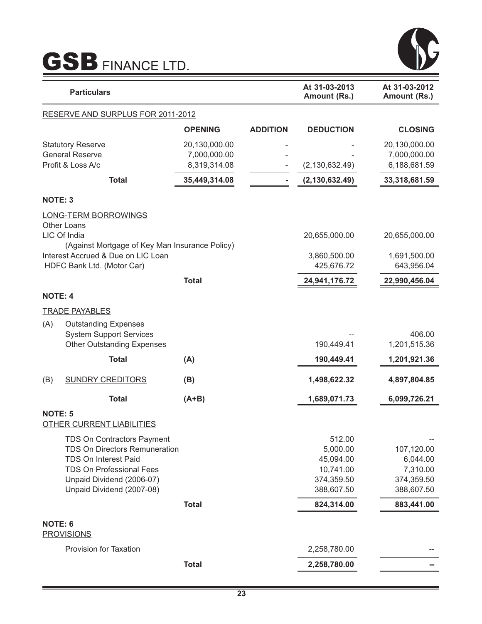

|                | <b>Particulars</b>                                                                                                                                                                                    |                                               |                 | At 31-03-2013<br>Amount (Rs.)                                            | At 31-03-2012<br>Amount (Rs.)                                  |
|----------------|-------------------------------------------------------------------------------------------------------------------------------------------------------------------------------------------------------|-----------------------------------------------|-----------------|--------------------------------------------------------------------------|----------------------------------------------------------------|
|                | RESERVE AND SURPLUS FOR 2011-2012                                                                                                                                                                     |                                               |                 |                                                                          |                                                                |
|                |                                                                                                                                                                                                       | <b>OPENING</b>                                | <b>ADDITION</b> | <b>DEDUCTION</b>                                                         | <b>CLOSING</b>                                                 |
|                | <b>Statutory Reserve</b><br><b>General Reserve</b><br>Profit & Loss A/c                                                                                                                               | 20,130,000.00<br>7,000,000.00<br>8,319,314.08 |                 | (2, 130, 632.49)                                                         | 20,130,000.00<br>7,000,000.00<br>6,188,681.59                  |
|                | <b>Total</b>                                                                                                                                                                                          | 35,449,314.08                                 |                 | (2, 130, 632.49)                                                         | 33,318,681.59                                                  |
| <b>NOTE: 3</b> |                                                                                                                                                                                                       |                                               |                 |                                                                          |                                                                |
|                | <b>LONG-TERM BORROWINGS</b><br><b>Other Loans</b>                                                                                                                                                     |                                               |                 |                                                                          |                                                                |
|                | LIC Of India<br>(Against Mortgage of Key Man Insurance Policy)                                                                                                                                        |                                               |                 | 20,655,000.00                                                            | 20,655,000.00                                                  |
|                | Interest Accrued & Due on LIC Loan<br>HDFC Bank Ltd. (Motor Car)                                                                                                                                      |                                               |                 | 3,860,500.00<br>425,676.72                                               | 1,691,500.00<br>643,956.04                                     |
|                |                                                                                                                                                                                                       | <b>Total</b>                                  |                 | 24,941,176.72                                                            | 22,990,456.04                                                  |
| <b>NOTE: 4</b> |                                                                                                                                                                                                       |                                               |                 |                                                                          |                                                                |
|                | <b>TRADE PAYABLES</b>                                                                                                                                                                                 |                                               |                 |                                                                          |                                                                |
| (A)            | <b>Outstanding Expenses</b><br><b>System Support Services</b><br><b>Other Outstanding Expenses</b>                                                                                                    |                                               |                 | 190,449.41                                                               | 406.00<br>1,201,515.36                                         |
|                | <b>Total</b>                                                                                                                                                                                          | (A)                                           |                 | 190,449.41                                                               | 1,201,921.36                                                   |
| (B)            | <b>SUNDRY CREDITORS</b>                                                                                                                                                                               | (B)                                           |                 | 1,498,622.32                                                             | 4,897,804.85                                                   |
|                | <b>Total</b>                                                                                                                                                                                          | $(A+B)$                                       |                 | 1,689,071.73                                                             | 6,099,726.21                                                   |
| <b>NOTE: 5</b> | OTHER CURRENT LIABILITIES                                                                                                                                                                             |                                               |                 |                                                                          |                                                                |
|                | <b>TDS On Contractors Payment</b><br><b>TDS On Directors Remuneration</b><br><b>TDS On Interest Paid</b><br><b>TDS On Professional Fees</b><br>Unpaid Dividend (2006-07)<br>Unpaid Dividend (2007-08) |                                               |                 | 512.00<br>5,000.00<br>45,094.00<br>10,741.00<br>374,359.50<br>388,607.50 | 107,120.00<br>6,044.00<br>7,310.00<br>374,359.50<br>388,607.50 |
|                |                                                                                                                                                                                                       | <b>Total</b>                                  |                 | 824,314.00                                                               | 883,441.00                                                     |
| <b>NOTE: 6</b> | <b>PROVISIONS</b>                                                                                                                                                                                     |                                               |                 |                                                                          |                                                                |
|                | <b>Provision for Taxation</b>                                                                                                                                                                         |                                               |                 | 2,258,780.00                                                             |                                                                |
|                |                                                                                                                                                                                                       | <b>Total</b>                                  |                 | 2,258,780.00                                                             |                                                                |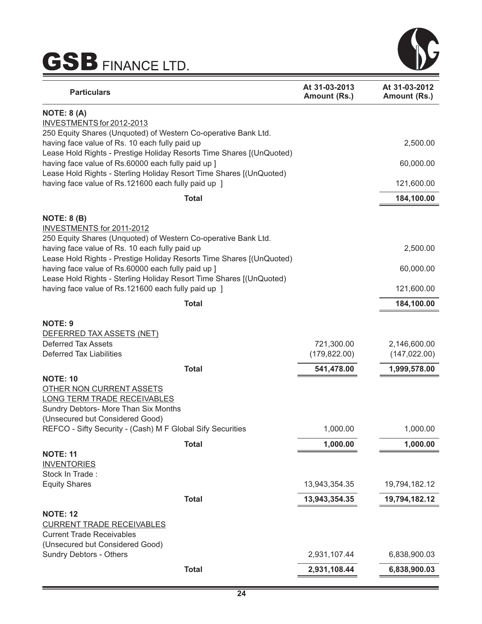

| <b>Particulars</b>                                                                                                                                                                                                  |              | At 31-03-2013<br>Amount (Rs.) | At 31-03-2012<br>Amount (Rs.) |
|---------------------------------------------------------------------------------------------------------------------------------------------------------------------------------------------------------------------|--------------|-------------------------------|-------------------------------|
| <b>NOTE: 8 (A)</b><br>INVESTMENTS for 2012-2013                                                                                                                                                                     |              |                               |                               |
| 250 Equity Shares (Unquoted) of Western Co-operative Bank Ltd.<br>having face value of Rs. 10 each fully paid up                                                                                                    |              |                               | 2,500.00                      |
| Lease Hold Rights - Prestige Holiday Resorts Time Shares [(UnQuoted)<br>having face value of Rs.60000 each fully paid up ]<br>Lease Hold Rights - Sterling Holiday Resort Time Shares [(UnQuoted)                   |              |                               | 60,000.00                     |
| having face value of Rs.121600 each fully paid up ]                                                                                                                                                                 |              |                               | 121,600.00                    |
|                                                                                                                                                                                                                     | <b>Total</b> |                               | 184,100.00                    |
| <b>NOTE: 8 (B)</b><br><b>INVESTMENTS for 2011-2012</b><br>250 Equity Shares (Unquoted) of Western Co-operative Bank Ltd.                                                                                            |              |                               |                               |
| having face value of Rs. 10 each fully paid up<br>Lease Hold Rights - Prestige Holiday Resorts Time Shares [(UnQuoted)                                                                                              |              |                               | 2,500.00                      |
| having face value of Rs.60000 each fully paid up ]<br>Lease Hold Rights - Sterling Holiday Resort Time Shares [(UnQuoted)                                                                                           |              |                               | 60,000.00                     |
| having face value of Rs.121600 each fully paid up ]                                                                                                                                                                 |              |                               | 121,600.00                    |
|                                                                                                                                                                                                                     | <b>Total</b> |                               | 184,100.00                    |
| <b>NOTE: 9</b><br>DEFERRED TAX ASSETS (NET)<br><b>Deferred Tax Assets</b><br><b>Deferred Tax Liabilities</b>                                                                                                        |              | 721,300.00<br>(179, 822.00)   | 2,146,600.00<br>(147, 022.00) |
|                                                                                                                                                                                                                     | <b>Total</b> | 541,478.00                    | 1,999,578.00                  |
| <b>NOTE: 10</b><br>OTHER NON CURRENT ASSETS<br>LONG TERM TRADE RECEIVABLES<br>Sundry Debtors- More Than Six Months<br>(Unsecured but Considered Good)<br>REFCO - Sifty Security - (Cash) M F Global Sify Securities |              | 1,000.00                      | 1,000.00                      |
|                                                                                                                                                                                                                     | <b>Total</b> | 1,000.00                      | 1,000.00                      |
| <b>NOTE: 11</b><br><b>INVENTORIES</b><br>Stock In Trade:                                                                                                                                                            |              |                               |                               |
| <b>Equity Shares</b>                                                                                                                                                                                                |              | 13,943,354.35                 | 19,794,182.12                 |
|                                                                                                                                                                                                                     | <b>Total</b> | 13,943,354.35                 | 19,794,182.12                 |
| <b>NOTE: 12</b><br><b>CURRENT TRADE RECEIVABLES</b><br><b>Current Trade Receivables</b><br>(Unsecured but Considered Good)                                                                                          |              |                               |                               |
| Sundry Debtors - Others                                                                                                                                                                                             |              | 2,931,107.44                  | 6,838,900.03                  |
|                                                                                                                                                                                                                     | <b>Total</b> | 2,931,108.44                  | 6,838,900.03                  |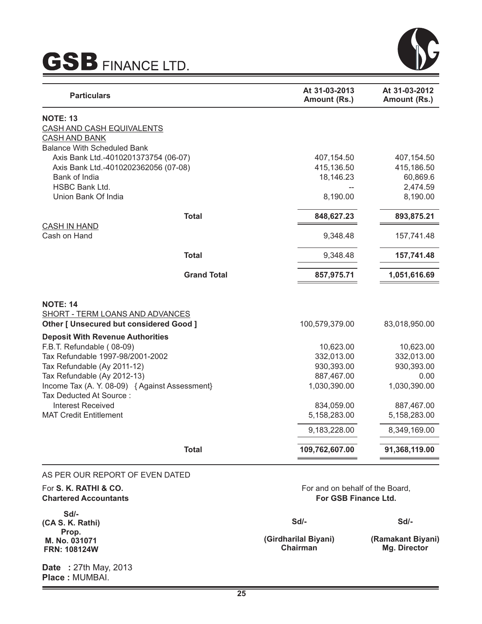



| <b>Particulars</b>                                                                                   |                    | At 31-03-2013<br>Amount (Rs.) | At 31-03-2012<br>Amount (Rs.) |
|------------------------------------------------------------------------------------------------------|--------------------|-------------------------------|-------------------------------|
| <b>NOTE: 13</b>                                                                                      |                    |                               |                               |
| CASH AND CASH EQUIVALENTS                                                                            |                    |                               |                               |
| <b>CASH AND BANK</b>                                                                                 |                    |                               |                               |
| <b>Balance With Scheduled Bank</b>                                                                   |                    |                               |                               |
| Axis Bank Ltd.-4010201373754 (06-07)<br>Axis Bank Ltd.-4010202362056 (07-08)                         |                    | 407,154.50<br>415,136.50      | 407,154.50<br>415,186.50      |
| Bank of India                                                                                        |                    | 18,146.23                     | 60,869.6                      |
| <b>HSBC Bank Ltd.</b>                                                                                |                    |                               | 2,474.59                      |
| Union Bank Of India                                                                                  |                    | 8,190.00                      | 8,190.00                      |
|                                                                                                      | <b>Total</b>       | 848,627.23                    | 893,875.21                    |
| <b>CASH IN HAND</b><br>Cash on Hand                                                                  |                    | 9,348.48                      | 157,741.48                    |
|                                                                                                      |                    |                               |                               |
|                                                                                                      | <b>Total</b>       | 9,348.48                      | 157,741.48                    |
|                                                                                                      | <b>Grand Total</b> | 857,975.71                    | 1,051,616.69                  |
| <b>NOTE: 14</b><br>SHORT - TERM LOANS AND ADVANCES<br><b>Other [ Unsecured but considered Good ]</b> |                    | 100,579,379.00                | 83,018,950.00                 |
| <b>Deposit With Revenue Authorities</b>                                                              |                    |                               |                               |
| F.B.T. Refundable (08-09)                                                                            |                    | 10,623.00                     | 10,623.00                     |
| Tax Refundable 1997-98/2001-2002                                                                     |                    | 332,013.00                    | 332,013.00                    |
| Tax Refundable (Ay 2011-12)                                                                          |                    | 930,393.00                    | 930,393.00                    |
| Tax Refundable (Ay 2012-13)                                                                          |                    | 887,467.00                    | 0.00                          |
| Income Tax (A. Y. 08-09) { Against Assessment}<br>Tax Deducted At Source:                            |                    | 1,030,390.00                  | 1,030,390.00                  |
| <b>Interest Received</b>                                                                             |                    | 834,059.00                    | 887,467.00                    |
| <b>MAT Credit Entitlement</b>                                                                        |                    | 5,158,283.00                  | 5,158,283.00                  |
|                                                                                                      |                    | 9,183,228.00                  | 8,349,169.00                  |
|                                                                                                      | <b>Total</b>       | 109,762,607.00                | 91,368,119.00                 |
| AS PER OUR REPORT OF EVEN DATED                                                                      |                    |                               |                               |

# For **S. K. RATHI & CO.**

**Chartered Accountants**

**Sd/- (CA S. K. Rathi) Prop. M. No. 031071 FRN: 108124W**

**Contract Contract Contract** 

**Date** : 27th May, 2013 **Place :** MUMBAI.

For and on behalf of the Board, **For GSB Finance Ltd.** 

**Sd/-**

**Sd/-**

**(Girdharilal Biyani) Chairman**

**(Ramakant Biyani) Mg. Director**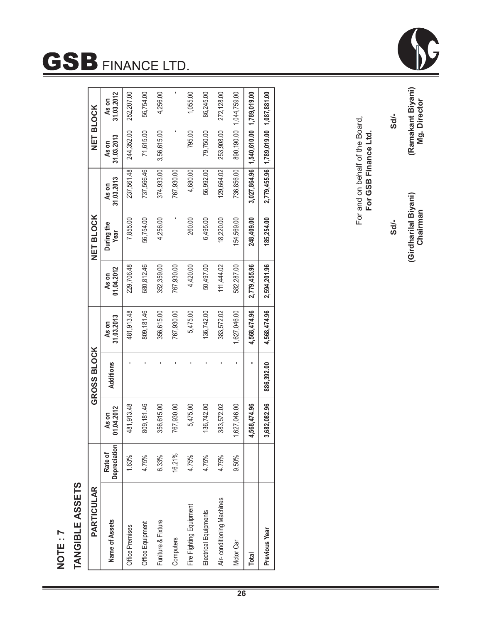

| TANGIBLE ASSETS           |                         |                     |                    |                     |                     |                    |                     |                           |                     |
|---------------------------|-------------------------|---------------------|--------------------|---------------------|---------------------|--------------------|---------------------|---------------------------|---------------------|
| PARTICULAR                |                         |                     | <b>GROSS BLOCK</b> |                     |                     | <b>NET BLOCK</b>   |                     | <b>NET BLOCK</b>          |                     |
| Name of Assets            | Depreciation<br>Rate of | 01.04.2012<br>As on | Additions          | 31.03.2013<br>As on | 01.04.2012<br>As on | During the<br>Year | 31.03.2013<br>As on | 31.03.2013<br>As on       | 31.03.2012<br>As on |
| Office Premises           | 1.63%                   | 481,913.48          |                    | 481,913.48          | 229,706.48          | 7,855.00           | 237,561.48          | 244,352.00                | 252,207.00          |
| Office Equipment          | 4.75%                   | 809,181.46          |                    | 809,181.46          | 680, 812.46         | 56,754.00          | 737,566.46          | 71,615.00                 | 56,754.00           |
| Funiture & Fixture        | 6.33%                   | 356,615.00          |                    | 356,615.00          | 352,359.00          | 4,256.00           | 374,933.00          | 3,56,615.00               | 4,256.00            |
| Computers                 | 16.21%                  | 767,930.00          |                    | 767,930.00          | 767,930.00          |                    | 767,930.00          |                           |                     |
| Fire Fighting Equipment   | 4.75%                   | 5,475.00            |                    | 5,475.00            | 4,420.00            | 260.00             | 4,680.00            | 795.00                    | 1,055.00            |
| Electrical Equipments     | 4.75%                   | 136,742.00          |                    | 136,742.00          | 50,497.00           | 6,495.00           | 56,992.00           | 79,750.00                 | 86,245.00           |
| Air-conditioning Machines | 4.75%                   | 383,572.02          |                    | 383,572.02          | 111,444.02          | 18,220.00          | 129,664.02          | 253,908.00                | 272,128.00          |
| Motor Car                 | $9.50\%$                | 1,627,046.00        |                    | 1,627,046.00        | 582,287.00          | 154,569.00         | 736,856.00          | 890,190.00                | 1,044,759.00        |
| Total                     |                         | 4,568,474.96        |                    | 4,568,474.96        | 2,779,455.96        | 248,409.00         | 3,027,864.96        | 1,540,610.00              | 1,789,019.00        |
| Previous Year             |                         | 3,682,082.96        | 886,392.00         | 4,568,474.96        | 2,594,201.96        | 185,254.00         | 2,779,455.96        | 1,789,019.00 1,087,881.00 |                     |





(Ramakant Biyani)<br>Mg. Director **(Ramakant Biyani) Mg. Director Sd/-**

> **(Girdharilal Biyani)**  (Girdharilal Biyani)<br>Chairman

**Sd/-**

For and on behalf of the Board, **For GSB Finance Ltd.** 

For and on behalf of the Board,<br>For GSB Finance Ltd.

**26**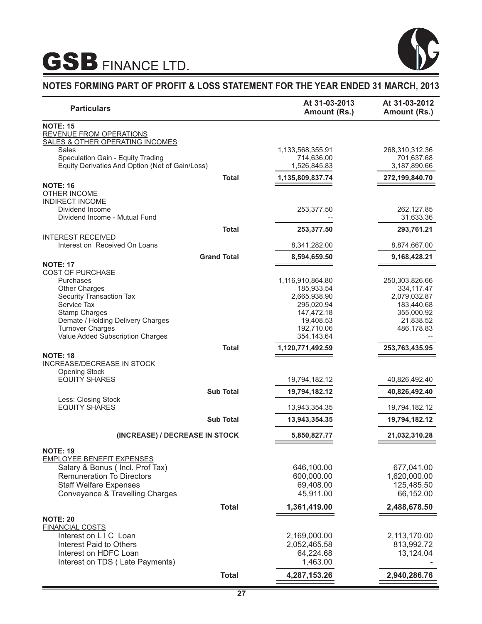

## **NOTES FORMING PART OF PROFIT & LOSS STATEMENT FOR THE YEAR ENDED 31 MARCH, 2013**

| <b>Particulars</b>                                                  | At 31-03-2013<br>Amount (Rs.)  | At 31-03-2012<br>Amount (Rs.) |
|---------------------------------------------------------------------|--------------------------------|-------------------------------|
| <b>NOTE: 15</b>                                                     |                                |                               |
| REVENUE FROM OPERATIONS                                             |                                |                               |
| <b>SALES &amp; OTHER OPERATING INCOMES</b><br>Sales                 | 1,133,568,355.91               | 268,310,312.36                |
| Speculation Gain - Equity Trading                                   | 714,636.00                     | 701,637.68                    |
| Equity Derivaties And Option (Net of Gain/Loss)                     | 1,526,845.83                   | 3,187,890.66                  |
| <b>Total</b>                                                        | 1,135,809,837.74               | 272,199,840.70                |
| <b>NOTE: 16</b><br><b>OTHER INCOME</b>                              |                                |                               |
| <b>INDIRECT INCOME</b>                                              |                                |                               |
| Dividend Income                                                     | 253,377.50                     | 262,127.85                    |
| Dividend Income - Mutual Fund                                       |                                | 31,633.36                     |
| <b>Total</b>                                                        | 253,377.50                     | 293,761.21                    |
| <b>INTEREST RECEIVED</b><br>Interest on Received On Loans           | 8,341,282.00                   | 8,874,667.00                  |
| <b>Grand Total</b>                                                  | 8,594,659.50                   | 9,168,428.21                  |
| <b>NOTE: 17</b>                                                     |                                |                               |
| <b>COST OF PURCHASE</b>                                             |                                |                               |
| Purchases<br><b>Other Charges</b>                                   | 1,116,910,864.80<br>185,933.54 | 250,303,826.66<br>334, 117.47 |
| <b>Security Transaction Tax</b>                                     | 2,665,938.90                   | 2,079,032.87                  |
| Service Tax                                                         | 295,020.94                     | 183,440.68                    |
| <b>Stamp Charges</b>                                                | 147,472.18                     | 355,000.92                    |
| Demate / Holding Delivery Charges<br><b>Turnover Charges</b>        | 19,408.53<br>192,710.06        | 21,838.52<br>486,178.83       |
| Value Added Subscription Charges                                    | 354,143.64                     |                               |
| <b>Total</b>                                                        | 1,120,771,492.59               | 253,763,435.95                |
| <b>NOTE: 18</b><br>INCREASE/DECREASE IN STOCK                       |                                |                               |
| <b>Opening Stock</b>                                                |                                |                               |
| <b>EQUITY SHARES</b>                                                | 19,794,182.12                  | 40,826,492.40                 |
| <b>Sub Total</b>                                                    | 19,794,182.12                  | 40,826,492.40                 |
| Less: Closing Stock<br><b>EQUITY SHARES</b>                         | 13,943,354.35                  | 19,794,182.12                 |
| <b>Sub Total</b>                                                    | 13,943,354.35                  | 19,794,182.12                 |
|                                                                     |                                |                               |
| (INCREASE) / DECREASE IN STOCK                                      | 5,850,827.77                   | 21,032,310.28                 |
| <b>NOTE: 19</b>                                                     |                                |                               |
| <b>EMPLOYEE BENEFIT EXPENSES</b><br>Salary & Bonus (Incl. Prof Tax) | 646,100.00                     | 677,041.00                    |
| <b>Remuneration To Directors</b>                                    | 600,000.00                     | 1,620,000.00                  |
| <b>Staff Welfare Expenses</b>                                       | 69,408.00                      | 125,485.50                    |
| Conveyance & Travelling Charges                                     | 45,911.00                      | 66,152.00                     |
| <b>Total</b>                                                        | 1,361,419.00                   | 2,488,678.50                  |
| <b>NOTE: 20</b>                                                     |                                |                               |
| <b>FINANCIAL COSTS</b>                                              |                                |                               |
| Interest on LIC Loan<br>Interest Paid to Others                     | 2,169,000.00                   | 2,113,170.00                  |
| Interest on HDFC Loan                                               | 2,052,465.58<br>64,224.68      | 813,992.72<br>13,124.04       |
| Interest on TDS (Late Payments)                                     | 1,463.00                       |                               |
| <b>Total</b>                                                        | 4,287,153.26                   | 2,940,286.76                  |
|                                                                     |                                |                               |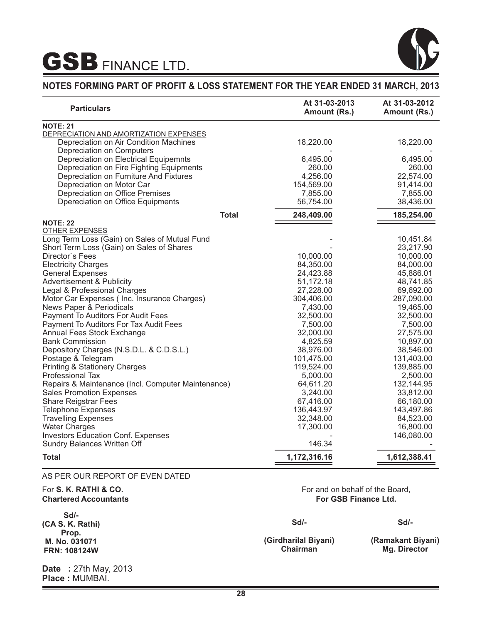

#### **NOTES FORMING PART OF PROFIT & LOSS STATEMENT FOR THE YEAR ENDED 31 MARCH, 2013**

| <b>Particulars</b>                                                          | At 31-03-2013<br>Amount (Rs.) | At 31-03-2012<br>Amount (Rs.) |
|-----------------------------------------------------------------------------|-------------------------------|-------------------------------|
| <b>NOTE: 21</b>                                                             |                               |                               |
| DEPRECIATION AND AMORTIZATION EXPENSES                                      |                               |                               |
| Depreciation on Air Condition Machines                                      | 18,220.00                     | 18,220.00                     |
| Depreciation on Computers                                                   |                               |                               |
| Depreciation on Electrical Equipemnts                                       | 6,495.00                      | 6,495.00                      |
| Depreciation on Fire Fighting Equipments                                    | 260.00                        | 260.00                        |
| Depreciation on Furniture And Fixtures                                      | 4,256.00                      | 22,574.00                     |
| Depreciation on Motor Car                                                   | 154,569.00<br>7,855.00        | 91,414.00<br>7,855.00         |
| Depreciation on Office Premises<br><b>Dpereciation on Office Equipments</b> | 56,754.00                     | 38,436.00                     |
|                                                                             |                               |                               |
| <b>Total</b>                                                                | 248,409.00                    | 185,254.00                    |
| <b>NOTE: 22</b>                                                             |                               |                               |
| <b>OTHER EXPENSES</b>                                                       |                               |                               |
| Long Term Loss (Gain) on Sales of Mutual Fund                               |                               | 10,451.84                     |
| Short Term Loss (Gain) on Sales of Shares<br>Director's Fees                |                               | 23,217.90                     |
|                                                                             | 10,000.00<br>84,350.00        | 10,000.00<br>84,000.00        |
| <b>Electricity Charges</b><br><b>General Expenses</b>                       | 24,423.88                     | 45,886.01                     |
| Advertisement & Publicity                                                   | 51,172.18                     | 48,741.85                     |
| Legal & Professional Charges                                                | 27,228.00                     | 69,692.00                     |
| Motor Car Expenses (Inc. Insurance Charges)                                 | 304,406.00                    | 287,090.00                    |
| News Paper & Periodicals                                                    | 7,430.00                      | 19,465.00                     |
| Payment To Auditors For Audit Fees                                          | 32,500.00                     | 32,500.00                     |
| Payment To Auditors For Tax Audit Fees                                      | 7,500.00                      | 7,500.00                      |
| Annual Fees Stock Exchange                                                  | 32,000.00                     | 27,575.00                     |
| <b>Bank Commission</b>                                                      | 4,825.59                      | 10,897.00                     |
| Depository Charges (N.S.D.L. & C.D.S.L.)                                    | 38,976.00                     | 38,546.00                     |
| Postage & Telegram                                                          | 101,475.00                    | 131,403.00                    |
| <b>Printing &amp; Stationery Charges</b>                                    | 119,524.00                    | 139,885.00                    |
| <b>Professional Tax</b>                                                     | 5,000.00                      | 2,500.00                      |
| Repairs & Maintenance (Incl. Computer Maintenance)                          | 64,611.20                     | 132,144.95                    |
| <b>Sales Promotion Expenses</b>                                             | 3,240.00                      | 33,812.00                     |
| <b>Share Reigstrar Fees</b>                                                 | 67,416.00                     | 66,180.00                     |
| <b>Telephone Expenses</b>                                                   | 136,443.97                    | 143,497.86                    |
| <b>Travelling Expenses</b>                                                  | 32,348.00                     | 84,523.00                     |
| <b>Water Charges</b>                                                        | 17,300.00                     | 16,800.00                     |
| <b>Investors Education Conf. Expenses</b>                                   |                               | 146,080.00                    |
| Sundry Balances Written Off                                                 | 146.34                        |                               |
| <b>Total</b>                                                                | 1,172,316.16                  | 1,612,388.41                  |

#### AS PER OUR REPORT OF EVEN DATED

| For S. K. RATHI & CO.        |                      | For and on behalf of the Board, |
|------------------------------|----------------------|---------------------------------|
| <b>Chartered Accountants</b> |                      | <b>For GSB Finance Ltd.</b>     |
| $Sd$ -                       |                      |                                 |
| (CA S. K. Rathi)             | $Sd$ -               | $Sd$ -                          |
| Prop.                        |                      |                                 |
| M. No. 031071                | (Girdharilal Biyani) | (Ramakant Biyani)               |
| <b>FRN: 108124W</b>          | Chairman             | Mg. Director                    |
| <b>Date</b> : 27th May, 2013 |                      |                                 |
| <b>Place: MUMBAI.</b>        |                      |                                 |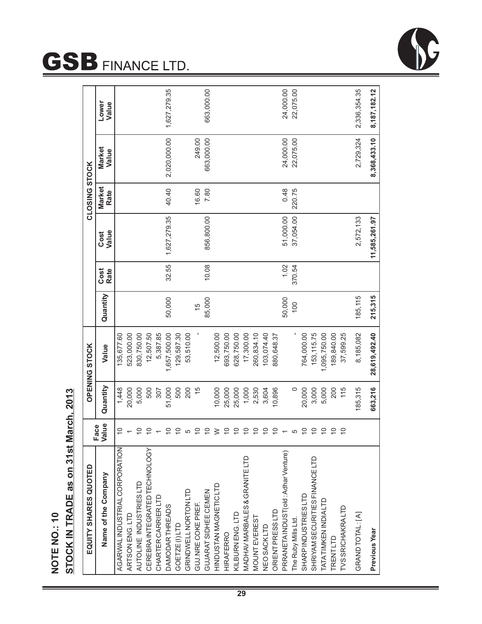# **NOTE NO.: 10<br>STOCK IN TRADE as on 31st March, 2013 STOCK IN TRADE as on 31st March, 2013 NOTE NO.: 10**

| EQUITY SHARES QUOTED                  |                          |               | <b>OPENING STOCK</b> |                |              |               | CLOSING STOCK  |                 |                |
|---------------------------------------|--------------------------|---------------|----------------------|----------------|--------------|---------------|----------------|-----------------|----------------|
|                                       | Face                     |               |                      |                |              |               |                |                 |                |
| Name of the Company                   | Value                    | Quantity      | Value                | Quantity       | Cost<br>Rate | Value<br>Cost | Market<br>Rate | Market<br>Value | Lower<br>Value |
| AGARWAL INDUSTRIAL CORPORATION        | $\overline{C}$           | 1,448         | 135,677.60           |                |              |               |                |                 |                |
| ARTSON ENG. LTD                       |                          | 20,000        | 523,000.00           |                |              |               |                |                 |                |
| AUTOLINE INDUSTRIES LTD               | $\overline{0}$           | 5,000         | 830,750.00           |                |              |               |                |                 |                |
| CEREBRA INTEGRATED TECHNOLOGY         | $\subseteq$              | 500           | 12,507.50            |                |              |               |                |                 |                |
| CHARTER CARRIER LTD                   |                          | 307           | 5,387.85             |                |              |               |                |                 |                |
| DAMODAR THREADS                       | $\subseteq$              | 51,000        | 1,657,500.00         | 50,000         | 32.55        | 1,627,279.35  | 40.40          | 2,020,000.00    | 1,627,279.35   |
| GOETZE(I)LTD                          | $\overline{0}$           | 500           | 129,587.30           |                |              |               |                |                 |                |
| <b>GRINDWELLNORTON LTD</b>            | မ                        | 200           | 53,510.00            |                |              |               |                |                 |                |
| GUJ.NRE COKE PREF.                    | $\overline{0}$           | $\frac{5}{3}$ |                      | $\frac{15}{2}$ |              |               | 16.60          | 249.00          |                |
| GUJARAT SIDHEE CEMEN                  | $\overline{0}$           |               |                      | 85,000         | 10.08        | 856,800.00    | 7.80           | 663,000.00      | 663,000.00     |
| HINDUSTAN MAGNETIC LTD                | $\geq$                   | 10,000        | 12,500.00            |                |              |               |                |                 |                |
| <b>HIRAFERRO</b>                      | $\overline{0}$           | 25,000        | 693,750.00           |                |              |               |                |                 |                |
| KILBURNENG. LTD                       | $\subseteq$              | 25,000        | 628,750.00           |                |              |               |                |                 |                |
| MADHAV MARBALES & GRANITE LTD         | $\overline{0}$           | 1,000         | 17,300.00            |                |              |               |                |                 |                |
| <b>MOUNTEVEREST</b>                   | $\overline{0}$           | 2,530         | 260,834.10           |                |              |               |                |                 |                |
| NEO SACK LTD                          | $\overline{C}$           | 3,604         | 103,074.40           |                |              |               |                |                 |                |
| ORIENT PRESS LTD                      | $\overline{0}$           | 10,896        | 880,648.37           |                |              |               |                |                 |                |
| PRRANETA INDUST (old : Adhar Venture) | $\overline{\phantom{m}}$ |               |                      | 50,000         | 1.02         | 51,000.00     | 0.48           | 24,000.00       | 24,000.00      |
| The Ruby Mills Ltd.                   | LO                       | $\circ$       |                      | 100            | 370.54       | 37,054.00     | 220.75         | 22,075.00       | 22,075.00      |
| SHARP INDUSTRIES LTD                  | $\overline{a}$           | 20,000        | 764,000.00           |                |              |               |                |                 |                |
| SHRIYAM SECURITIES FINANCE LTD        | $\overline{0}$           | 3,000         | 153, 115.75          |                |              |               |                |                 |                |
| TATA TIMKEN INDIA LTD                 | $\subseteq$              | 5,000         | 1,095,750.00         |                |              |               |                |                 |                |
| <b>TRENTLTD</b>                       | $\subseteq$              | 200           | 189,840.00           |                |              |               |                |                 |                |
| <b>TVS SRICHAKRALTD</b>               | $\subseteq$              | 115           | 37,599.25            |                |              |               |                |                 |                |
| GRAND TOTAL: [A]                      |                          | 185,315       | 8,185,082            | 185,115        |              | 2,572,133     |                | 2,729,324       | 2,336,354.35   |
| Previous Year                         |                          | 663,216       | 28,619,492.40        | 215,315        |              | 11,585,261.97 |                | 8,368,433.10    | 8,187,182.12   |



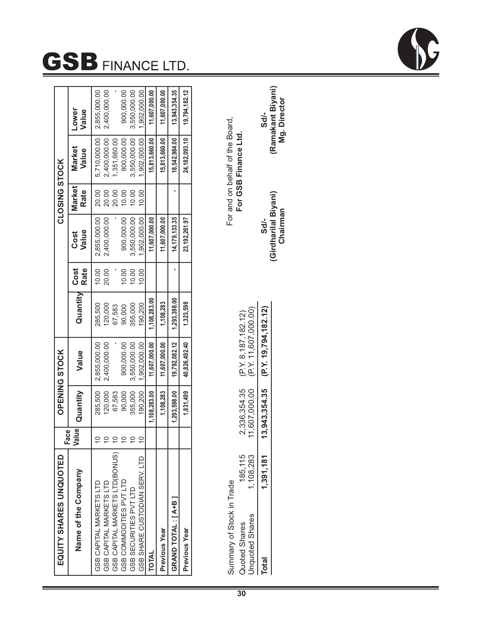



| EQUITY SHARES UNQUOTED         | $rac{1}{a}$ |              | OPENING STOCK |              |              |               | <b>CLOSING STOCK</b>  |                        |                |
|--------------------------------|-------------|--------------|---------------|--------------|--------------|---------------|-----------------------|------------------------|----------------|
| Name of the Company            | alue        | Quantity     | Value         | Quantity     | Cost<br>Rate | Value<br>Cost | <b>Market</b><br>Rate | <b>Market</b><br>Value | Lower<br>Value |
| GSB CAPITAL MARKETS LTD        |             | 285,500      | 2,855,000.00  | 285,500      | 10.00        | 2,855,000.00  | 20.00                 | 5,710,000.00           | 2,855,000.00   |
| GSB CAPITAL MARKETS LTD        |             | 120,000      | 2,400,000.00  | 120,000      | 20.00        | 2,400,000.00  | 20.00                 | 2,400,000.00           | 2,400,000.00   |
| GSB CAPITAL MARKETS LTD(BONUS) |             | 67,583       |               | 67,583       |              |               | 20.00                 | 1,351,660.00           |                |
| GSB COMMODITIES PVT LTD        |             | 90,000       | 900,000.00    | 90,000       | 10.00        | 900,000.00    | 10.00                 | 900,000.00             | 900,000.00     |
| GSB SECURITIES PVT LTD         |             | 355,000      | 3,550,000.00  | 355,000      | 10.00        | 3,550,000.00  | 10.00                 | 3,550,000.00           | 3,550,000.00   |
| GSB SHARE CUSTODIAN SERV. LTD  |             | 190.200      | 1,902,000.00  | 190,200      | 10.00        | 1,902,000.00  | 10.00                 | 1,902,000.00           | 1,902,000.00   |
| TOTAL                          |             | 1,108.283.00 | 11,607,000.00 | 1,108,283.00 |              | 11,607,000.00 |                       | 15,813,660.00          | 11,607,000.00  |
| <b>Previous Year</b>           |             | 1,108,283    | 11,607,000.00 | 1,108,283    |              | 11,607,000.00 |                       | 15,813,660.00          | 11,607,000.00  |
| GRAND TOTAL : [A+B]            |             | 1,293,598.00 | 19,792,082.12 | 1,293,398.00 |              | 14,179,133.35 |                       | 18,542,984.00          | 13,943,354.35  |
| <b>Previous Year</b>           |             | 1,831,499    | 40,826,492.40 | 1,323,598    |              | 23,192,261.97 |                       | 24,182,093.10          | 19,794,182.12  |
|                                |             |              |               |              |              |               |                       |                        |                |

| ĭ<br>ì      |
|-------------|
|             |
|             |
|             |
| ı<br>j<br>, |

| 1                      |           |               |                       |
|------------------------|-----------|---------------|-----------------------|
| Quoted Shares          | 185,115   | 2,336,354.35  | (P.Y. 8, 187, 182.12) |
| <b>Jnquoted Shares</b> | ,108,283  | 11,607,000.00 | (P.Y. 11,607,000.00)  |
| <b>Total</b>           | 1,391,181 | 13,943,354.35 | (P.Y. 19,794,182.12)  |

For and on behalf of the Board,<br>For GSB Finance Ltd. For and on behalf of the Board, **For GSB Finance Ltd.** 

**Sd/- (Girdharilal Biyani) Chairman** Sd/-<br>(Ramakant Biyani)<br>Mg. Director

**(Ramakant Biyani) Mg. Director** 

**30**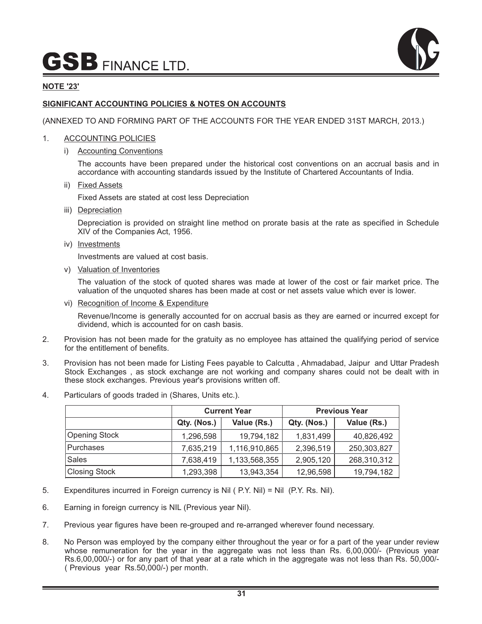

#### **NOTE '23'**

#### **SIGNIFICANT ACCOUNTING POLICIES & NOTES ON ACCOUNTS**

#### (ANNEXED TO AND FORMING PART OF THE ACCOUNTS FOR THE YEAR ENDED 31ST MARCH, 2013.)

#### 1. ACCOUNTING POLICIES

#### i) Accounting Conventions

The accounts have been prepared under the historical cost conventions on an accrual basis and in accordance with accounting standards issued by the Institute of Chartered Accountants of India.

ii) Fixed Assets

Fixed Assets are stated at cost less Depreciation

iii) Depreciation

Depreciation is provided on straight line method on prorate basis at the rate as specified in Schedule XIV of the Companies Act, 1956.

iv) Investments

Investments are valued at cost basis.

v) Valuation of Inventories

The valuation of the stock of quoted shares was made at lower of the cost or fair market price. The valuation of the unquoted shares has been made at cost or net assets value which ever is lower.

vi) Recognition of Income & Expenditure

Revenue/Income is generally accounted for on accrual basis as they are earned or incurred except for dividend, which is accounted for on cash basis.

- 2. Provision has not been made for the gratuity as no employee has attained the qualifying period of service for the entitlement of benefits.
- 3. Provision has not been made for Listing Fees payable to Calcutta , Ahmadabad, Jaipur and Uttar Pradesh Stock Exchanges , as stock exchange are not working and company shares could not be dealt with in these stock exchanges. Previous year's provisions written off.
- 4. Particulars of goods traded in (Shares, Units etc.).

|                      |             | <b>Current Year</b> |             | <b>Previous Year</b> |
|----------------------|-------------|---------------------|-------------|----------------------|
|                      | Qty. (Nos.) | Value (Rs.)         | Qty. (Nos.) | Value (Rs.)          |
| <b>Opening Stock</b> | 1,296,598   | 19,794,182          | 1,831,499   | 40,826,492           |
| Purchases            | 7,635,219   | 1,116,910,865       | 2,396,519   | 250,303,827          |
| Sales                | 7,638,419   | 1,133,568,355       | 2,905,120   | 268,310,312          |
| <b>Closing Stock</b> | 1,293,398   | 13,943,354          | 12,96,598   | 19,794,182           |

- 5. Expenditures incurred in Foreign currency is Nil ( P.Y. Nil) = Nil (P.Y. Rs. Nil).
- 6. Earning in foreign currency is NIL (Previous year Nil).
- 7. Previous year figures have been re-grouped and re-arranged wherever found necessary.
- 8. No Person was employed by the company either throughout the year or for a part of the year under review whose remuneration for the year in the aggregate was not less than Rs. 6,00,000/- (Previous year Rs.6,00,000/-) or for any part of that year at a rate which in the aggregate was not less than Rs. 50,000/- ( Previous year Rs.50,000/-) per month.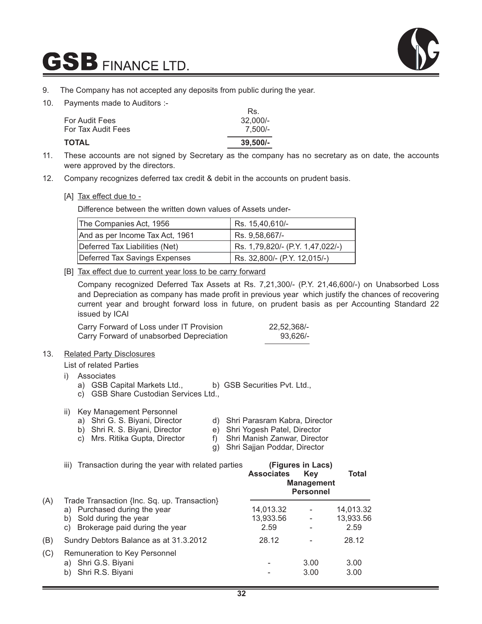# $\mathbf{GSB}$  finance ltd.



- 9. The Company has not accepted any deposits from public during the year.
- 10. Payments made to Auditors :-

| TOTAL                                | $39.500/-$                   |
|--------------------------------------|------------------------------|
| For Audit Fees<br>For Tax Audit Fees | Rs.<br>$32.000/-$<br>7.500/- |
|                                      |                              |

- 11. These accounts are not signed by Secretary as the company has no secretary as on date, the accounts were approved by the directors.
- 12. Company recognizes deferred tax credit & debit in the accounts on prudent basis.

#### [A] Tax effect due to -

Difference between the written down values of Assets under-

| The Companies Act, 1956         | Rs. 15,40,610/-                  |
|---------------------------------|----------------------------------|
| And as per Income Tax Act, 1961 | Rs. 9.58.667/-                   |
| Deferred Tax Liabilities (Net)  | Rs. 1,79,820/- (P.Y. 1,47,022/-) |
| Deferred Tax Savings Expenses   | Rs. 32,800/- (P.Y. 12,015/-)     |

[B] Tax effect due to current year loss to be carry forward

Company recognized Deferred Tax Assets at Rs. 7,21,300/- (P.Y. 21,46,600/-) on Unabsorbed Loss and Depreciation as company has made profit in previous year which justify the chances of recovering current year and brought forward loss in future, on prudent basis as per Accounting Standard 22 issued by ICAI

Carry Forward of Loss under IT Provision 22,52,368/- Carry Forward of unabsorbed Depreciation 93,626/-

13. Related Party Disclosures

List of related Parties

- i) Associates
	- a) GSB Capital Markets Ltd., b) GSB Securities Pvt. Ltd.,
	- c) GSB Share Custodian Services Ltd.,
- ii) Key Management Personnel
	- a) Shri G. S. Biyani, Director d) Shri Parasram Kabra, Director
	- b) Shri R. S. Biyani, Director e) Shri Yogesh Patel, Director
	- c) Mrs. Ritika Gupta, Director f) Shri Manish Zanwar, Director
		- g) Shri Sajjan Poddar, Director

| iii) Transaction during the year with related parties |                   | (Figures in Lacs) |              |
|-------------------------------------------------------|-------------------|-------------------|--------------|
|                                                       | <b>Associates</b> | Kev               | <b>Total</b> |

|     | Trade Transaction {Inc. Sq. up. Transaction}<br>Purchased during the year<br>a)<br>Sold during the year<br>b)<br>Brokerage paid during the year<br>C) | <b>Management</b><br><b>Personnel</b> |                          |                                |
|-----|-------------------------------------------------------------------------------------------------------------------------------------------------------|---------------------------------------|--------------------------|--------------------------------|
| (A) |                                                                                                                                                       | 14,013.32<br>13,933.56<br>2.59        | $\overline{\phantom{a}}$ | 14,013.32<br>13,933.56<br>2.59 |
| (B) | Sundry Debtors Balance as at 31.3.2012                                                                                                                | 28.12                                 |                          | 28.12                          |
| (C) | Remuneration to Key Personnel<br>Shri G.S. Biyani<br>a)<br>Shri R.S. Biyani                                                                           |                                       | 3.00<br>3.00             | 3.00<br>3.00                   |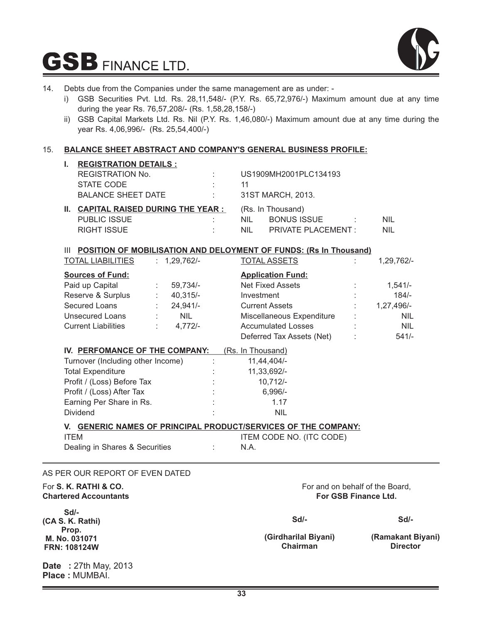

| 14. | Debts due from the Companies under the same management are as under: -<br>GSB Securities Pvt. Ltd. Rs. 28,11,548/- (P.Y. Rs. 65,72,976/-) Maximum amount due at any time<br>i)                                 |                                                                                                                                                                                   |                                                                           |
|-----|----------------------------------------------------------------------------------------------------------------------------------------------------------------------------------------------------------------|-----------------------------------------------------------------------------------------------------------------------------------------------------------------------------------|---------------------------------------------------------------------------|
|     | during the year Rs. 76,57,208/- (Rs. 1,58,28,158/-)<br>ii) GSB Capital Markets Ltd. Rs. Nil (P.Y. Rs. 1,46,080/-) Maximum amount due at any time during the<br>year Rs. 4,06,996/- (Rs. 25,54,400/-)           |                                                                                                                                                                                   |                                                                           |
| 15. | <b>BALANCE SHEET ABSTRACT AND COMPANY'S GENERAL BUSINESS PROFILE:</b>                                                                                                                                          |                                                                                                                                                                                   |                                                                           |
|     | <b>REGISTRATION DETAILS:</b><br>L.<br><b>REGISTRATION No.</b><br>STATE CODE<br><b>BALANCE SHEET DATE</b>                                                                                                       | US1909MH2001PLC134193<br>11<br>31ST MARCH, 2013.                                                                                                                                  |                                                                           |
|     | II. CAPITAL RAISED DURING THE YEAR :<br>PUBLIC ISSUE<br><b>RIGHT ISSUE</b>                                                                                                                                     | (Rs. In Thousand)<br><b>NIL</b><br><b>BONUS ISSUE</b><br>NIL PRIVATE PLACEMENT :                                                                                                  | <b>NIL</b><br><b>NIL</b>                                                  |
|     | III POSITION OF MOBILISATION AND DELOYMENT OF FUNDS: (Rs In Thousand)                                                                                                                                          |                                                                                                                                                                                   |                                                                           |
|     | <b>TOTAL LIABILITIES</b><br>$: 1,29,762/-$                                                                                                                                                                     | <b>TOTAL ASSETS</b>                                                                                                                                                               | 1,29,762/-                                                                |
|     | <b>Sources of Fund:</b><br>Paid up Capital<br>59,734/-<br>Reserve & Surplus<br>40,315/-<br>÷<br><b>Secured Loans</b><br>24,941/-<br><b>NIL</b><br>Unsecured Loans<br>$: 4,772/-$<br><b>Current Liabilities</b> | <b>Application Fund:</b><br><b>Net Fixed Assets</b><br>Investment<br><b>Current Assets</b><br>Miscellaneous Expenditure<br><b>Accumulated Losses</b><br>Deferred Tax Assets (Net) | $1,541/-$<br>$184/-$<br>1,27,496/-<br><b>NIL</b><br><b>NIL</b><br>$541/-$ |
|     | IV. PERFOMANCE OF THE COMPANY:<br>Turnover (Including other Income)<br><b>Total Expenditure</b><br>Profit / (Loss) Before Tax<br>Profit / (Loss) After Tax<br>Earning Per Share in Rs.<br>Dividend             | (Rs. In Thousand)<br>11,44,404/-<br>11,33,692/-<br>$10,712/-$<br>$6,996/-$<br>1.17<br><b>NIL</b>                                                                                  |                                                                           |
|     | V. GENERIC NAMES OF PRINCIPAL PRODUCT/SERVICES OF THE COMPANY:<br><b>ITEM</b><br>Dealing in Shares & Securities                                                                                                | ITEM CODE NO. (ITC CODE)<br>N.A.                                                                                                                                                  |                                                                           |
|     | AS PER OUR REPORT OF EVEN DATED                                                                                                                                                                                |                                                                                                                                                                                   |                                                                           |
|     | For S. K. RATHI & CO.<br><b>Chartered Accountants</b>                                                                                                                                                          | For and on behalf of the Board,<br>For GSB Finance Ltd.                                                                                                                           |                                                                           |
|     | $Sd$ -<br>(CA S. K. Rathi)                                                                                                                                                                                     | $Sd$ -                                                                                                                                                                            | $Sd$ -                                                                    |
|     | Prop.<br>M. No. 031071<br><b>FRN: 108124W</b>                                                                                                                                                                  | (Girdharilal Biyani)<br><b>Chairman</b>                                                                                                                                           | (Ramakant Biyani)<br><b>Director</b>                                      |
|     | <b>Date</b> : 27th May, 2013<br>Place: MUMBAI.                                                                                                                                                                 |                                                                                                                                                                                   |                                                                           |